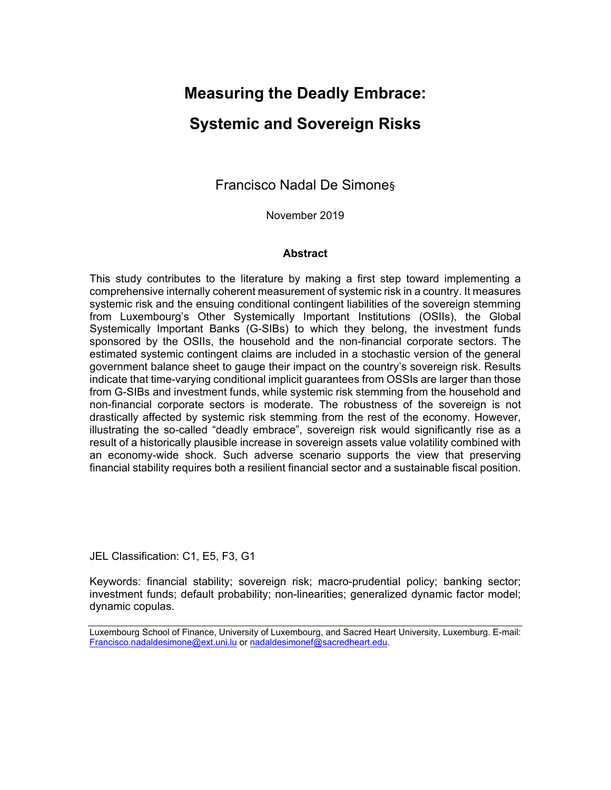# **Measuring the Deadly Embrace: Systemic and Sovereign Risks**

Francisco Nadal De Simone§

November 2019

#### **Abstract**

This study contributes to the literature by making a first step toward implementing a comprehensive internally coherent measurement of systemic risk in a country. It measures systemic risk and the ensuing conditional contingent liabilities of the sovereign stemming from Luxembourg's Other Systemically Important Institutions (OSIIs), the Global Systemically Important Banks (G-SIBs) to which they belong, the investment funds sponsored by the OSIIs, the household and the non-financial corporate sectors. The estimated systemic contingent claims are included in a stochastic version of the general government balance sheet to gauge their impact on the country's sovereign risk. Results indicate that time-varying conditional implicit guarantees from OSSIs are larger than those from G-SIBs and investment funds, while systemic risk stemming from the household and non-financial corporate sectors is moderate. The robustness of the sovereign is not drastically affected by systemic risk stemming from the rest of the economy. However, illustrating the so-called "deadly embrace", sovereign risk would significantly rise as a result of a historically plausible increase in sovereign assets value volatility combined with an economy-wide shock. Such adverse scenario supports the view that preserving financial stability requires both a resilient financial sector and a sustainable fiscal position.

JEL Classification: C1, E5, F3, G1

Keywords: financial stability; sovereign risk; macro-prudential policy; banking sector; investment funds; default probability; non-linearities; generalized dynamic factor model; dynamic copulas.

Luxembourg School of Finance, University of Luxembourg, and Sacred Heart University, Luxemburg. E-mail: Francisco.nadaldesimone@ext.uni.lu or nadaldesimonef@sacredheart.edu.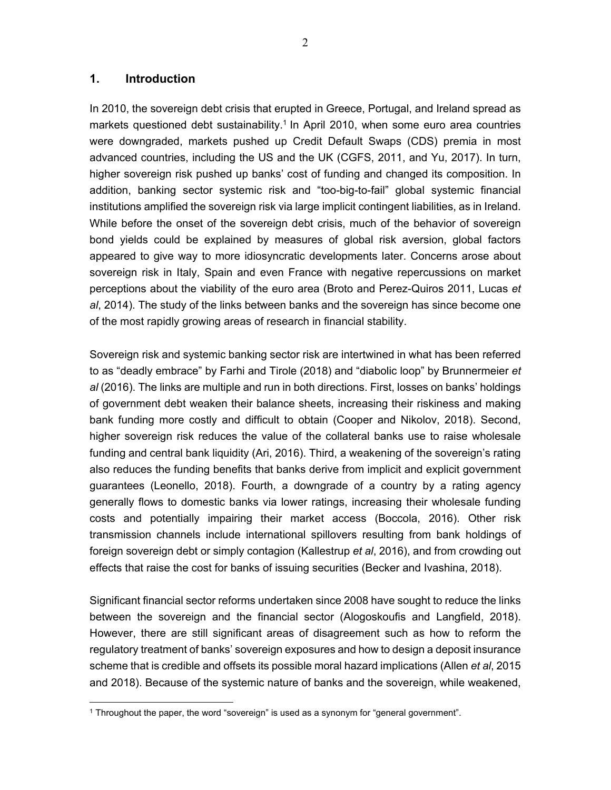### **1. Introduction**

In 2010, the sovereign debt crisis that erupted in Greece, Portugal, and Ireland spread as markets questioned debt sustainability.<sup>1</sup> In April 2010, when some euro area countries were downgraded, markets pushed up Credit Default Swaps (CDS) premia in most advanced countries, including the US and the UK (CGFS, 2011, and Yu, 2017). In turn, higher sovereign risk pushed up banks' cost of funding and changed its composition. In addition, banking sector systemic risk and "too-big-to-fail" global systemic financial institutions amplified the sovereign risk via large implicit contingent liabilities, as in Ireland. While before the onset of the sovereign debt crisis, much of the behavior of sovereign bond yields could be explained by measures of global risk aversion, global factors appeared to give way to more idiosyncratic developments later. Concerns arose about sovereign risk in Italy, Spain and even France with negative repercussions on market perceptions about the viability of the euro area (Broto and Perez-Quiros 2011, Lucas *et al*, 2014). The study of the links between banks and the sovereign has since become one of the most rapidly growing areas of research in financial stability.

Sovereign risk and systemic banking sector risk are intertwined in what has been referred to as "deadly embrace" by Farhi and Tirole (2018) and "diabolic loop" by Brunnermeier *et al* (2016). The links are multiple and run in both directions. First, losses on banks' holdings of government debt weaken their balance sheets, increasing their riskiness and making bank funding more costly and difficult to obtain (Cooper and Nikolov, 2018). Second, higher sovereign risk reduces the value of the collateral banks use to raise wholesale funding and central bank liquidity (Ari, 2016). Third, a weakening of the sovereign's rating also reduces the funding benefits that banks derive from implicit and explicit government guarantees (Leonello, 2018). Fourth, a downgrade of a country by a rating agency generally flows to domestic banks via lower ratings, increasing their wholesale funding costs and potentially impairing their market access (Boccola, 2016). Other risk transmission channels include international spillovers resulting from bank holdings of foreign sovereign debt or simply contagion (Kallestrup *et al*, 2016), and from crowding out effects that raise the cost for banks of issuing securities (Becker and Ivashina, 2018).

Significant financial sector reforms undertaken since 2008 have sought to reduce the links between the sovereign and the financial sector (Alogoskoufis and Langfield, 2018). However, there are still significant areas of disagreement such as how to reform the regulatory treatment of banks' sovereign exposures and how to design a deposit insurance scheme that is credible and offsets its possible moral hazard implications (Allen *et al*, 2015 and 2018). Because of the systemic nature of banks and the sovereign, while weakened,

 $\overline{a}$ <sup>1</sup> Throughout the paper, the word "sovereign" is used as a synonym for "general government".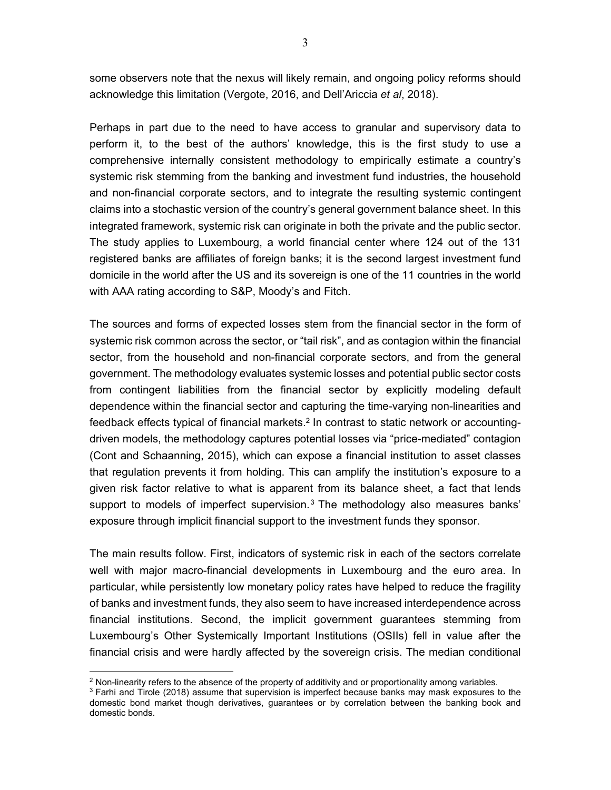some observers note that the nexus will likely remain, and ongoing policy reforms should acknowledge this limitation (Vergote, 2016, and Dell'Ariccia *et al*, 2018).

Perhaps in part due to the need to have access to granular and supervisory data to perform it, to the best of the authors' knowledge, this is the first study to use a comprehensive internally consistent methodology to empirically estimate a country's systemic risk stemming from the banking and investment fund industries, the household and non-financial corporate sectors, and to integrate the resulting systemic contingent claims into a stochastic version of the country's general government balance sheet. In this integrated framework, systemic risk can originate in both the private and the public sector. The study applies to Luxembourg, a world financial center where 124 out of the 131 registered banks are affiliates of foreign banks; it is the second largest investment fund domicile in the world after the US and its sovereign is one of the 11 countries in the world with AAA rating according to S&P, Moody's and Fitch.

The sources and forms of expected losses stem from the financial sector in the form of systemic risk common across the sector, or "tail risk", and as contagion within the financial sector, from the household and non-financial corporate sectors, and from the general government. The methodology evaluates systemic losses and potential public sector costs from contingent liabilities from the financial sector by explicitly modeling default dependence within the financial sector and capturing the time-varying non-linearities and feedback effects typical of financial markets.<sup>2</sup> In contrast to static network or accountingdriven models, the methodology captures potential losses via "price-mediated" contagion (Cont and Schaanning, 2015), which can expose a financial institution to asset classes that regulation prevents it from holding. This can amplify the institution's exposure to a given risk factor relative to what is apparent from its balance sheet, a fact that lends support to models of imperfect supervision. $3$  The methodology also measures banks' exposure through implicit financial support to the investment funds they sponsor.

The main results follow. First, indicators of systemic risk in each of the sectors correlate well with major macro-financial developments in Luxembourg and the euro area. In particular, while persistently low monetary policy rates have helped to reduce the fragility of banks and investment funds, they also seem to have increased interdependence across financial institutions. Second, the implicit government guarantees stemming from Luxembourg's Other Systemically Important Institutions (OSIIs) fell in value after the financial crisis and were hardly affected by the sovereign crisis. The median conditional

 $\overline{a}$ 

<sup>&</sup>lt;sup>2</sup> Non-linearity refers to the absence of the property of additivity and or proportionality among variables.<br><sup>3</sup> Farhi and Tirole (2018) assume that supervision is imperfect because banks may mask exposures to the

domestic bond market though derivatives, guarantees or by correlation between the banking book and domestic bonds.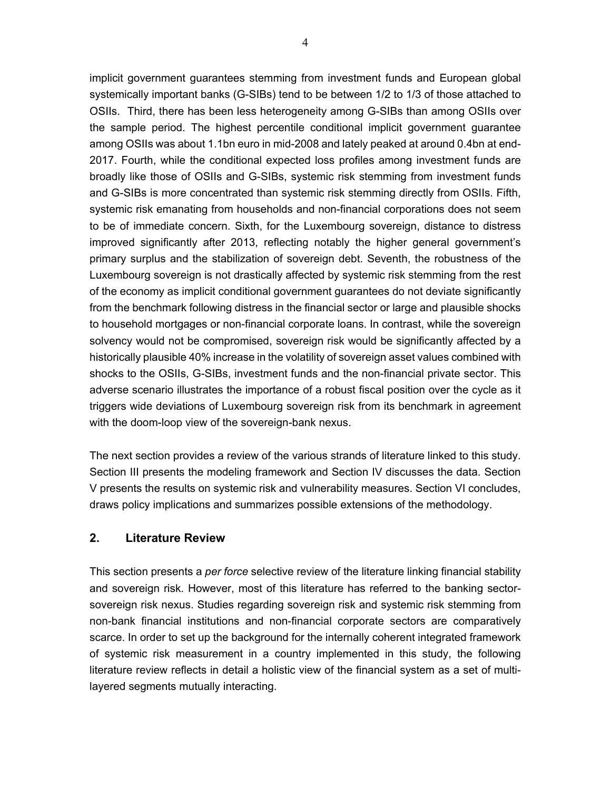implicit government guarantees stemming from investment funds and European global systemically important banks (G-SIBs) tend to be between 1/2 to 1/3 of those attached to OSIIs. Third, there has been less heterogeneity among G-SIBs than among OSIIs over the sample period. The highest percentile conditional implicit government guarantee among OSIIs was about 1.1bn euro in mid-2008 and lately peaked at around 0.4bn at end-2017. Fourth, while the conditional expected loss profiles among investment funds are broadly like those of OSIIs and G-SIBs, systemic risk stemming from investment funds and G-SIBs is more concentrated than systemic risk stemming directly from OSIIs. Fifth, systemic risk emanating from households and non-financial corporations does not seem to be of immediate concern. Sixth, for the Luxembourg sovereign, distance to distress improved significantly after 2013, reflecting notably the higher general government's primary surplus and the stabilization of sovereign debt. Seventh, the robustness of the Luxembourg sovereign is not drastically affected by systemic risk stemming from the rest of the economy as implicit conditional government guarantees do not deviate significantly from the benchmark following distress in the financial sector or large and plausible shocks to household mortgages or non-financial corporate loans. In contrast, while the sovereign solvency would not be compromised, sovereign risk would be significantly affected by a historically plausible 40% increase in the volatility of sovereign asset values combined with shocks to the OSIIs, G-SIBs, investment funds and the non-financial private sector. This adverse scenario illustrates the importance of a robust fiscal position over the cycle as it triggers wide deviations of Luxembourg sovereign risk from its benchmark in agreement with the doom-loop view of the sovereign-bank nexus.

The next section provides a review of the various strands of literature linked to this study. Section III presents the modeling framework and Section IV discusses the data. Section V presents the results on systemic risk and vulnerability measures. Section VI concludes, draws policy implications and summarizes possible extensions of the methodology.

# **2. Literature Review**

This section presents a *per force* selective review of the literature linking financial stability and sovereign risk. However, most of this literature has referred to the banking sectorsovereign risk nexus. Studies regarding sovereign risk and systemic risk stemming from non-bank financial institutions and non-financial corporate sectors are comparatively scarce. In order to set up the background for the internally coherent integrated framework of systemic risk measurement in a country implemented in this study, the following literature review reflects in detail a holistic view of the financial system as a set of multilayered segments mutually interacting.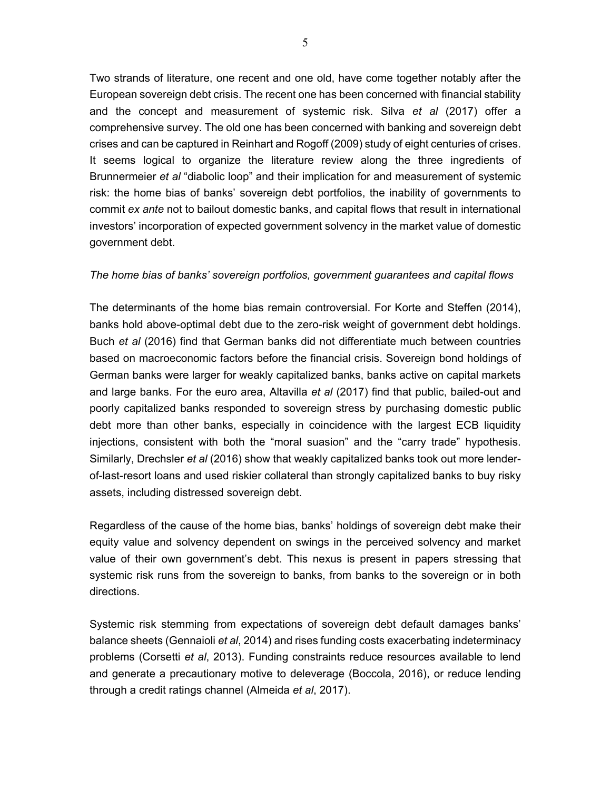Two strands of literature, one recent and one old, have come together notably after the European sovereign debt crisis. The recent one has been concerned with financial stability and the concept and measurement of systemic risk. Silva *et al* (2017) offer a comprehensive survey. The old one has been concerned with banking and sovereign debt crises and can be captured in Reinhart and Rogoff (2009) study of eight centuries of crises. It seems logical to organize the literature review along the three ingredients of Brunnermeier *et al* "diabolic loop" and their implication for and measurement of systemic risk: the home bias of banks' sovereign debt portfolios, the inability of governments to commit *ex ante* not to bailout domestic banks, and capital flows that result in international investors' incorporation of expected government solvency in the market value of domestic government debt.

#### *The home bias of banks' sovereign portfolios, government guarantees and capital flows*

The determinants of the home bias remain controversial. For Korte and Steffen (2014), banks hold above-optimal debt due to the zero-risk weight of government debt holdings. Buch *et al* (2016) find that German banks did not differentiate much between countries based on macroeconomic factors before the financial crisis. Sovereign bond holdings of German banks were larger for weakly capitalized banks, banks active on capital markets and large banks. For the euro area, Altavilla *et al* (2017) find that public, bailed-out and poorly capitalized banks responded to sovereign stress by purchasing domestic public debt more than other banks, especially in coincidence with the largest ECB liquidity injections, consistent with both the "moral suasion" and the "carry trade" hypothesis. Similarly, Drechsler *et al* (2016) show that weakly capitalized banks took out more lenderof-last-resort loans and used riskier collateral than strongly capitalized banks to buy risky assets, including distressed sovereign debt.

Regardless of the cause of the home bias, banks' holdings of sovereign debt make their equity value and solvency dependent on swings in the perceived solvency and market value of their own government's debt. This nexus is present in papers stressing that systemic risk runs from the sovereign to banks, from banks to the sovereign or in both directions.

Systemic risk stemming from expectations of sovereign debt default damages banks' balance sheets (Gennaioli *et al*, 2014) and rises funding costs exacerbating indeterminacy problems (Corsetti *et al*, 2013). Funding constraints reduce resources available to lend and generate a precautionary motive to deleverage (Boccola, 2016), or reduce lending through a credit ratings channel (Almeida *et al*, 2017).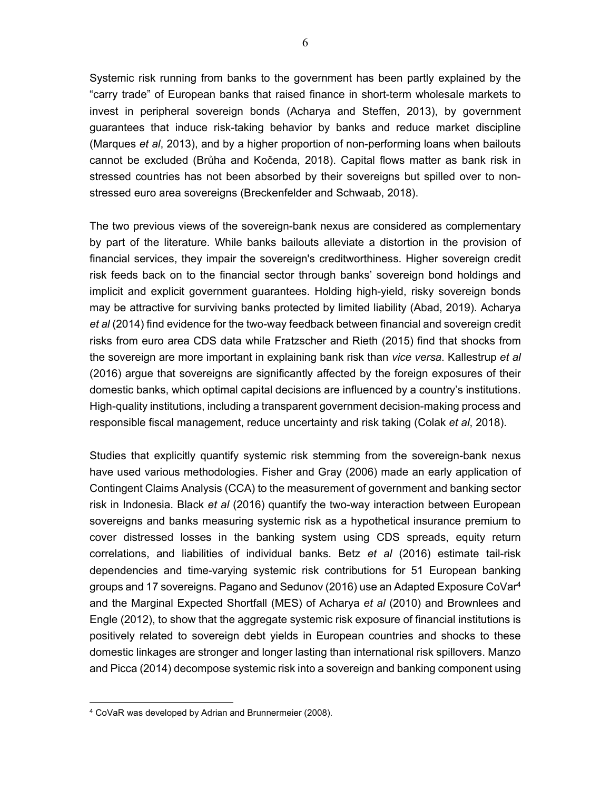Systemic risk running from banks to the government has been partly explained by the "carry trade" of European banks that raised finance in short-term wholesale markets to invest in peripheral sovereign bonds (Acharya and Steffen, 2013), by government guarantees that induce risk-taking behavior by banks and reduce market discipline (Marques *et al*, 2013), and by a higher proportion of non-performing loans when bailouts cannot be excluded (Brůha and Kočenda, 2018). Capital flows matter as bank risk in stressed countries has not been absorbed by their sovereigns but spilled over to nonstressed euro area sovereigns (Breckenfelder and Schwaab, 2018).

The two previous views of the sovereign-bank nexus are considered as complementary by part of the literature. While banks bailouts alleviate a distortion in the provision of financial services, they impair the sovereign's creditworthiness. Higher sovereign credit risk feeds back on to the financial sector through banks' sovereign bond holdings and implicit and explicit government guarantees. Holding high-yield, risky sovereign bonds may be attractive for surviving banks protected by limited liability (Abad, 2019). Acharya *et al* (2014) find evidence for the two-way feedback between financial and sovereign credit risks from euro area CDS data while Fratzscher and Rieth (2015) find that shocks from the sovereign are more important in explaining bank risk than *vice versa*. Kallestrup *et al* (2016) argue that sovereigns are significantly affected by the foreign exposures of their domestic banks, which optimal capital decisions are influenced by a country's institutions. High-quality institutions, including a transparent government decision-making process and responsible fiscal management, reduce uncertainty and risk taking (Colak *et al*, 2018).

Studies that explicitly quantify systemic risk stemming from the sovereign-bank nexus have used various methodologies. Fisher and Gray (2006) made an early application of Contingent Claims Analysis (CCA) to the measurement of government and banking sector risk in Indonesia. Black *et al* (2016) quantify the two-way interaction between European sovereigns and banks measuring systemic risk as a hypothetical insurance premium to cover distressed losses in the banking system using CDS spreads, equity return correlations, and liabilities of individual banks. Betz *et al* (2016) estimate tail-risk dependencies and time-varying systemic risk contributions for 51 European banking groups and 17 sovereigns. Pagano and Sedunov (2016) use an Adapted Exposure CoVar<sup>4</sup> and the Marginal Expected Shortfall (MES) of Acharya *et al* (2010) and Brownlees and Engle (2012), to show that the aggregate systemic risk exposure of financial institutions is positively related to sovereign debt yields in European countries and shocks to these domestic linkages are stronger and longer lasting than international risk spillovers. Manzo and Picca (2014) decompose systemic risk into a sovereign and banking component using

 $\overline{a}$ 4 CoVaR was developed by Adrian and Brunnermeier (2008).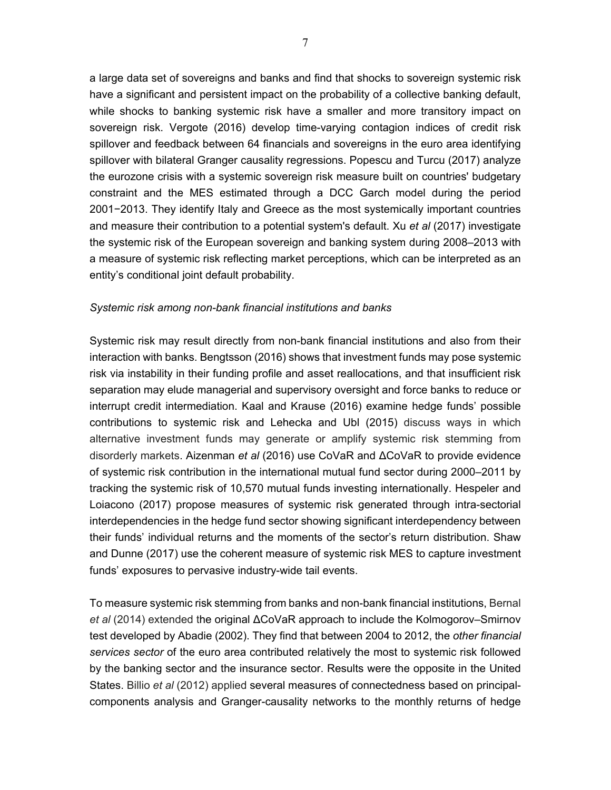a large data set of sovereigns and banks and find that shocks to sovereign systemic risk have a significant and persistent impact on the probability of a collective banking default, while shocks to banking systemic risk have a smaller and more transitory impact on sovereign risk. Vergote (2016) develop time-varying contagion indices of credit risk spillover and feedback between 64 financials and sovereigns in the euro area identifying spillover with bilateral Granger causality regressions. Popescu and Turcu (2017) analyze the eurozone crisis with a systemic sovereign risk measure built on countries' budgetary constraint and the MES estimated through a DCC Garch model during the period 2001−2013. They identify Italy and Greece as the most systemically important countries and measure their contribution to a potential system's default. Xu *et al* (2017) investigate the systemic risk of the European sovereign and banking system during 2008–2013 with a measure of systemic risk reflecting market perceptions, which can be interpreted as an entity's conditional joint default probability.

#### *Systemic risk among non-bank financial institutions and banks*

Systemic risk may result directly from non-bank financial institutions and also from their interaction with banks. Bengtsson (2016) shows that investment funds may pose systemic risk via instability in their funding profile and asset reallocations, and that insufficient risk separation may elude managerial and supervisory oversight and force banks to reduce or interrupt credit intermediation. Kaal and Krause (2016) examine hedge funds' possible contributions to systemic risk and Lehecka and Ubl (2015) discuss ways in which alternative investment funds may generate or amplify systemic risk stemming from disorderly markets. Aizenman *et al* (2016) use CoVaR and ΔCoVaR to provide evidence of systemic risk contribution in the international mutual fund sector during 2000–2011 by tracking the systemic risk of 10,570 mutual funds investing internationally. Hespeler and Loiacono (2017) propose measures of systemic risk generated through intra-sectorial interdependencies in the hedge fund sector showing significant interdependency between their funds' individual returns and the moments of the sector's return distribution. Shaw and Dunne (2017) use the coherent measure of systemic risk MES to capture investment funds' exposures to pervasive industry-wide tail events.

To measure systemic risk stemming from banks and non-bank financial institutions, Bernal *et al* (2014) extended the original ΔCoVaR approach to include the Kolmogorov–Smirnov test developed by Abadie (2002). They find that between 2004 to 2012, the *other financial services sector* of the euro area contributed relatively the most to systemic risk followed by the banking sector and the insurance sector. Results were the opposite in the United States. Billio *et al* (2012) applied several measures of connectedness based on principalcomponents analysis and Granger-causality networks to the monthly returns of hedge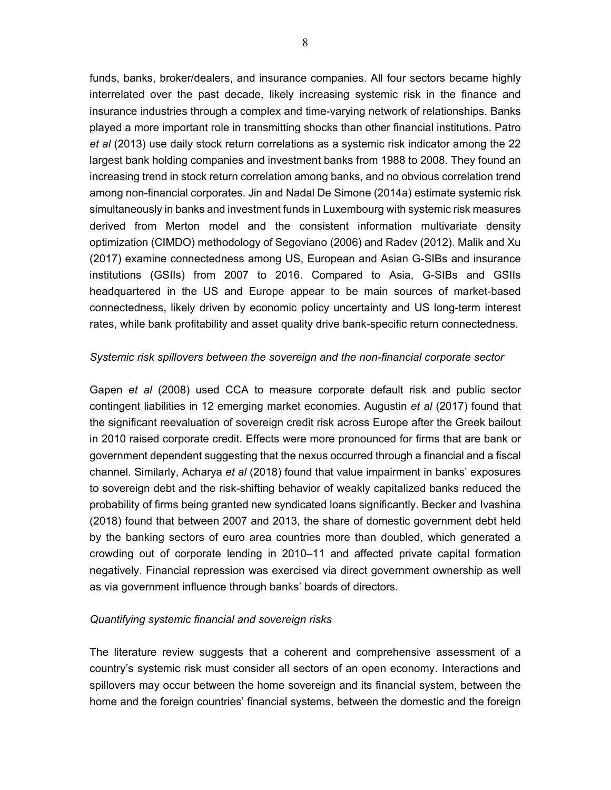funds, banks, broker/dealers, and insurance companies. All four sectors became highly interrelated over the past decade, likely increasing systemic risk in the finance and insurance industries through a complex and time-varying network of relationships. Banks played a more important role in transmitting shocks than other financial institutions. Patro *et al* (2013) use daily stock return correlations as a systemic risk indicator among the 22 largest bank holding companies and investment banks from 1988 to 2008. They found an increasing trend in stock return correlation among banks, and no obvious correlation trend among non-financial corporates. Jin and Nadal De Simone (2014a) estimate systemic risk simultaneously in banks and investment funds in Luxembourg with systemic risk measures derived from Merton model and the consistent information multivariate density optimization (CIMDO) methodology of Segoviano (2006) and Radev (2012). Malik and Xu (2017) examine connectedness among US, European and Asian G-SIBs and insurance institutions (GSIIs) from 2007 to 2016. Compared to Asia, G-SIBs and GSIIs headquartered in the US and Europe appear to be main sources of market-based connectedness, likely driven by economic policy uncertainty and US long-term interest rates, while bank profitability and asset quality drive bank-specific return connectedness.

#### *Systemic risk spillovers between the sovereign and the non-financial corporate sector*

Gapen *et al* (2008) used CCA to measure corporate default risk and public sector contingent liabilities in 12 emerging market economies. Augustin *et al* (2017) found that the significant reevaluation of sovereign credit risk across Europe after the Greek bailout in 2010 raised corporate credit. Effects were more pronounced for firms that are bank or government dependent suggesting that the nexus occurred through a financial and a fiscal channel. Similarly, Acharya *et al* (2018) found that value impairment in banks' exposures to sovereign debt and the risk-shifting behavior of weakly capitalized banks reduced the probability of firms being granted new syndicated loans significantly. Becker and Ivashina (2018) found that between 2007 and 2013, the share of domestic government debt held by the banking sectors of euro area countries more than doubled, which generated a crowding out of corporate lending in 2010–11 and affected private capital formation negatively. Financial repression was exercised via direct government ownership as well as via government influence through banks' boards of directors.

### *Quantifying systemic financial and sovereign risks*

The literature review suggests that a coherent and comprehensive assessment of a country's systemic risk must consider all sectors of an open economy. Interactions and spillovers may occur between the home sovereign and its financial system, between the home and the foreign countries' financial systems, between the domestic and the foreign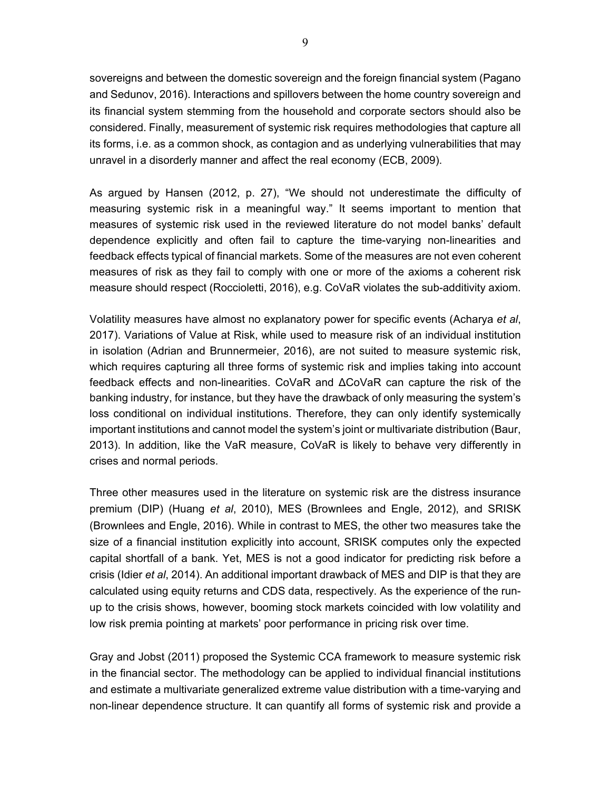sovereigns and between the domestic sovereign and the foreign financial system (Pagano and Sedunov, 2016). Interactions and spillovers between the home country sovereign and its financial system stemming from the household and corporate sectors should also be considered. Finally, measurement of systemic risk requires methodologies that capture all its forms, i.e. as a common shock, as contagion and as underlying vulnerabilities that may unravel in a disorderly manner and affect the real economy (ECB, 2009).

As argued by Hansen (2012, p. 27), "We should not underestimate the difficulty of measuring systemic risk in a meaningful way." It seems important to mention that measures of systemic risk used in the reviewed literature do not model banks' default dependence explicitly and often fail to capture the time-varying non-linearities and feedback effects typical of financial markets. Some of the measures are not even coherent measures of risk as they fail to comply with one or more of the axioms a coherent risk measure should respect (Roccioletti, 2016), e.g. CoVaR violates the sub-additivity axiom.

Volatility measures have almost no explanatory power for specific events (Acharya *et al*, 2017). Variations of Value at Risk, while used to measure risk of an individual institution in isolation (Adrian and Brunnermeier, 2016), are not suited to measure systemic risk, which requires capturing all three forms of systemic risk and implies taking into account feedback effects and non-linearities. CoVaR and ΔCoVaR can capture the risk of the banking industry, for instance, but they have the drawback of only measuring the system's loss conditional on individual institutions. Therefore, they can only identify systemically important institutions and cannot model the system's joint or multivariate distribution (Baur, 2013). In addition, like the VaR measure, CoVaR is likely to behave very differently in crises and normal periods.

Three other measures used in the literature on systemic risk are the distress insurance premium (DIP) (Huang *et al*, 2010), MES (Brownlees and Engle, 2012), and SRISK (Brownlees and Engle, 2016). While in contrast to MES, the other two measures take the size of a financial institution explicitly into account, SRISK computes only the expected capital shortfall of a bank. Yet, MES is not a good indicator for predicting risk before a crisis (Idier *et al*, 2014). An additional important drawback of MES and DIP is that they are calculated using equity returns and CDS data, respectively. As the experience of the runup to the crisis shows, however, booming stock markets coincided with low volatility and low risk premia pointing at markets' poor performance in pricing risk over time.

Gray and Jobst (2011) proposed the Systemic CCA framework to measure systemic risk in the financial sector. The methodology can be applied to individual financial institutions and estimate a multivariate generalized extreme value distribution with a time-varying and non-linear dependence structure. It can quantify all forms of systemic risk and provide a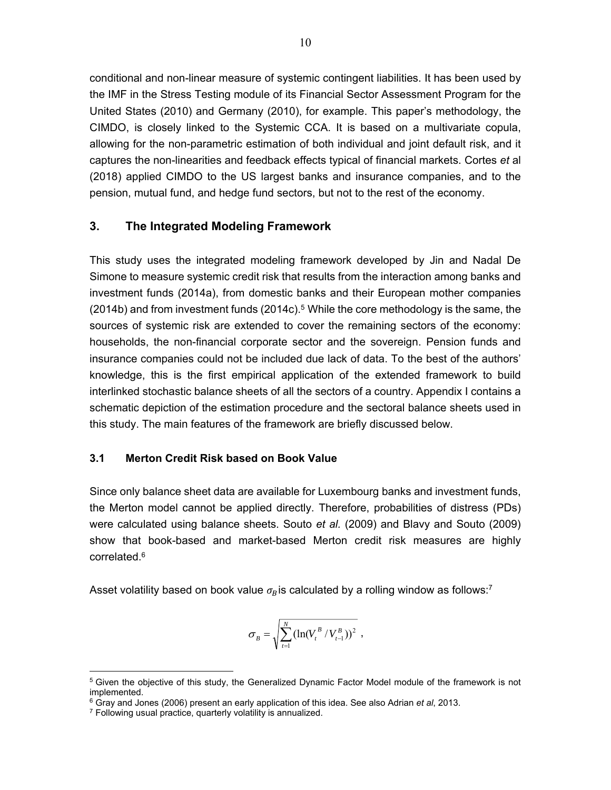conditional and non-linear measure of systemic contingent liabilities. It has been used by the IMF in the Stress Testing module of its Financial Sector Assessment Program for the United States (2010) and Germany (2010), for example. This paper's methodology, the CIMDO, is closely linked to the Systemic CCA. It is based on a multivariate copula, allowing for the non-parametric estimation of both individual and joint default risk, and it captures the non-linearities and feedback effects typical of financial markets. Cortes *et* al (2018) applied CIMDO to the US largest banks and insurance companies, and to the pension, mutual fund, and hedge fund sectors, but not to the rest of the economy.

# **3. The Integrated Modeling Framework**

This study uses the integrated modeling framework developed by Jin and Nadal De Simone to measure systemic credit risk that results from the interaction among banks and investment funds (2014a), from domestic banks and their European mother companies  $(2014b)$  and from investment funds  $(2014c)$ <sup>5</sup> While the core methodology is the same, the sources of systemic risk are extended to cover the remaining sectors of the economy: households, the non-financial corporate sector and the sovereign. Pension funds and insurance companies could not be included due lack of data. To the best of the authors' knowledge, this is the first empirical application of the extended framework to build interlinked stochastic balance sheets of all the sectors of a country. Appendix I contains a schematic depiction of the estimation procedure and the sectoral balance sheets used in this study. The main features of the framework are briefly discussed below.

### **3.1 Merton Credit Risk based on Book Value**

Since only balance sheet data are available for Luxembourg banks and investment funds, the Merton model cannot be applied directly. Therefore, probabilities of distress (PDs) were calculated using balance sheets. Souto *et al.* (2009) and Blavy and Souto (2009) show that book-based and market-based Merton credit risk measures are highly correlated.6

Asset volatility based on book value  $\sigma_B$  is calculated by a rolling window as follows:<sup>7</sup>

$$
\sigma_B = \sqrt{\sum_{t=1}^{N} (\ln(V_t^B / V_{t-1}^B))^2} ,
$$

 $\overline{a}$ 

<sup>5</sup> Given the objective of this study, the Generalized Dynamic Factor Model module of the framework is not implemented.

<sup>&</sup>lt;sup>6</sup> Gray and Jones (2006) present an early application of this idea. See also Adrian *et al*, 2013.<br><sup>7</sup> Following usual practice, quarterly volatility is annualized.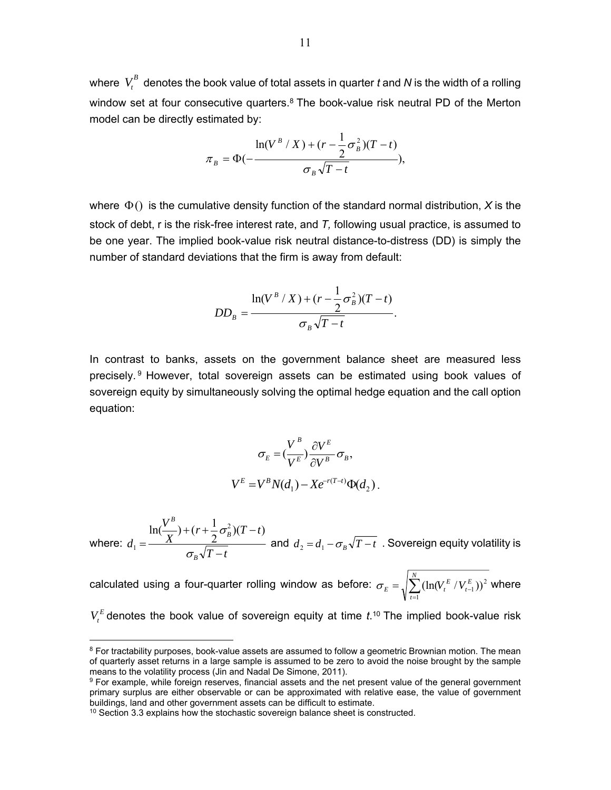where  $\left|V_{_t}^B\right|$  denotes the book value of total assets in quarter  $t$  and  $N$  is the width of a rolling window set at four consecutive quarters.<sup>8</sup> The book-value risk neutral PD of the Merton model can be directly estimated by:

$$
\pi_B = \Phi(-\frac{\ln(V^B/X) + (r - \frac{1}{2}\sigma_B^2)(T-t)}{\sigma_B\sqrt{T-t}}),
$$

where  $\Phi()$  is the cumulative density function of the standard normal distribution, *X* is the stock of debt, r is the risk-free interest rate, and *T,* following usual practice, is assumed to be one year. The implied book-value risk neutral distance-to-distress (DD) is simply the number of standard deviations that the firm is away from default:

$$
DD_{B} = \frac{\ln(V^{B} / X) + (r - \frac{1}{2}\sigma_{B}^{2})(T - t)}{\sigma_{B}\sqrt{T - t}}.
$$

In contrast to banks, assets on the government balance sheet are measured less precisely. 9 However, total sovereign assets can be estimated using book values of sovereign equity by simultaneously solving the optimal hedge equation and the call option equation:

$$
\sigma_E = \left(\frac{V^B}{V^E}\right) \frac{\partial V^E}{\partial V^B} \sigma_B,
$$
  

$$
V^E = V^B N(d_1) - X e^{-r(T-t)} \Phi(d_2).
$$

where:  $T - t$  $r + \frac{1}{2}\sigma_R^2(T-t)$ *X V d B B B* - $+(r+\frac{1}{2}\sigma_{B}^{2})(T-\frac{1}{2})$  $=$ σ  $\ln(\frac{V^B}{X}) + (r + \frac{1}{2}\sigma_B^2)(T-t)$  $d_1 = \frac{X}{\sqrt{2\pi}}$  and  $d_2 = d_1 - \sigma_B \sqrt{T-t}$  . Sovereign equity volatility is

calculated using a four-quarter rolling window as before:  $\sigma_{_E}=\sqrt{\sum_{_{l=1}}^{N}(\ln(V_{_l}^E/V_{_l}^E))^2}$ *t*  $E = \sqrt{\sum_{t=1}^{E} (\ln(V_t^E / V_{t-1}^E))}$  $\sigma_E = \sqrt{\sum (\ln(V_i^E/V_{i-1}^E))^2}$  where

 $V_t^E$  denotes the book value of sovereign equity at time  $t$ .<sup>10</sup> The implied book-value risk

 $\overline{a}$ 

 $8$  For tractability purposes, book-value assets are assumed to follow a geometric Brownian motion. The mean of quarterly asset returns in a large sample is assumed to be zero to avoid the noise brought by the sample means to the volatility process (Jin and Nadal De Simone, 2011).

 $9$  For example, while foreign reserves, financial assets and the net present value of the general government primary surplus are either observable or can be approximated with relative ease, the value of government<br>buildings, land and other government assets can be difficult to estimate.

 $10$  Section 3.3 explains how the stochastic sovereign balance sheet is constructed.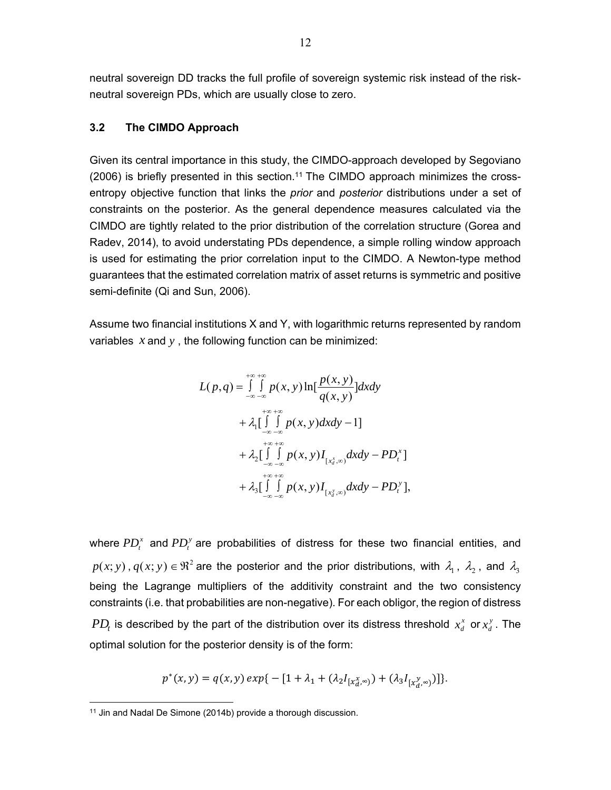neutral sovereign DD tracks the full profile of sovereign systemic risk instead of the riskneutral sovereign PDs, which are usually close to zero.

#### **3.2 The CIMDO Approach**

Given its central importance in this study, the CIMDO-approach developed by Segoviano  $(2006)$  is briefly presented in this section.<sup>11</sup> The CIMDO approach minimizes the crossentropy objective function that links the *prior* and *posterior* distributions under a set of constraints on the posterior. As the general dependence measures calculated via the CIMDO are tightly related to the prior distribution of the correlation structure (Gorea and Radev, 2014), to avoid understating PDs dependence, a simple rolling window approach is used for estimating the prior correlation input to the CIMDO. A Newton-type method guarantees that the estimated correlation matrix of asset returns is symmetric and positive semi-definite (Qi and Sun, 2006).

Assume two financial institutions X and Y, with logarithmic returns represented by random variables *x* and *y* , the following function can be minimized:

$$
L(p,q) = \int_{-\infty}^{+\infty+\infty} \int_{-\infty}^{+\infty} p(x,y) \ln[\frac{p(x,y)}{q(x,y)}] dxdy
$$
  
+  $\lambda_1 [\int_{-\infty-\infty}^{+\infty+\infty} p(x,y) dxdy - 1]$   
+  $\lambda_2 [\int_{-\infty-\infty}^{+\infty+\infty} p(x,y) I_{[x_d^x,\infty)} dxdy - PD_t^x]$   
+  $\lambda_3 [\int_{-\infty-\infty}^{+\infty+\infty} p(x,y) I_{[x_d^y,\infty)} dxdy - PD_t^y],$ 

where  $PD_t^x$  and  $PD_t^y$  are probabilities of distress for these two financial entities, and  $p(x; y)$ ,  $q(x; y) \in \Re^2$  are the posterior and the prior distributions, with  $\lambda_1$ ,  $\lambda_2$ , and  $\lambda_3$ being the Lagrange multipliers of the additivity constraint and the two consistency constraints (i.e. that probabilities are non-negative). For each obligor, the region of distress  $PD_t$  is described by the part of the distribution over its distress threshold  $\,x_d^x\,$  or  $x_d^y$  . The optimal solution for the posterior density is of the form:

$$
p^*(x,y) = q(x,y) \exp\{-\left[1 + \lambda_1 + (\lambda_2 I_{[x_d^x, \infty]}) + (\lambda_3 I_{[x_d^y, \infty]})\right]\}.
$$

 $\overline{a}$ <sup>11</sup> Jin and Nadal De Simone (2014b) provide a thorough discussion.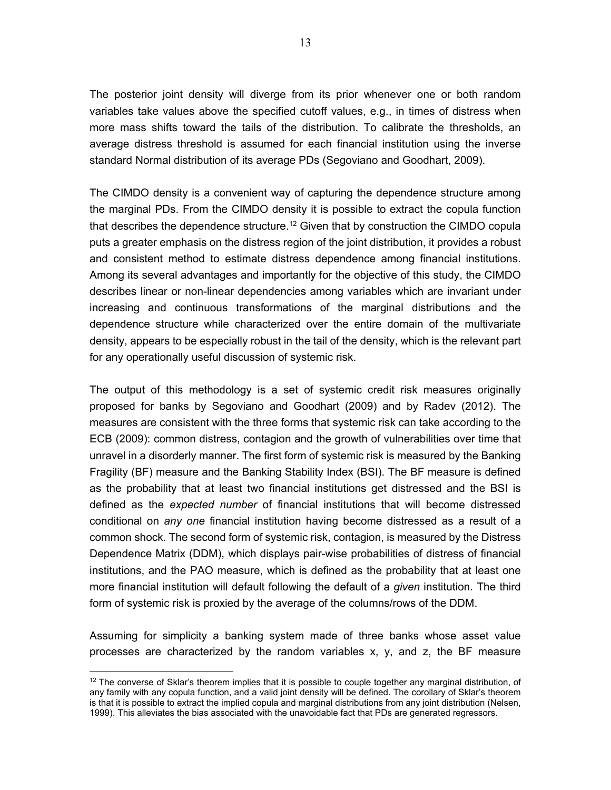The posterior joint density will diverge from its prior whenever one or both random variables take values above the specified cutoff values, e.g., in times of distress when more mass shifts toward the tails of the distribution. To calibrate the thresholds, an average distress threshold is assumed for each financial institution using the inverse standard Normal distribution of its average PDs (Segoviano and Goodhart, 2009).

The CIMDO density is a convenient way of capturing the dependence structure among the marginal PDs. From the CIMDO density it is possible to extract the copula function that describes the dependence structure.<sup>12</sup> Given that by construction the CIMDO copula puts a greater emphasis on the distress region of the joint distribution, it provides a robust and consistent method to estimate distress dependence among financial institutions. Among its several advantages and importantly for the objective of this study, the CIMDO describes linear or non-linear dependencies among variables which are invariant under increasing and continuous transformations of the marginal distributions and the dependence structure while characterized over the entire domain of the multivariate density, appears to be especially robust in the tail of the density, which is the relevant part for any operationally useful discussion of systemic risk.

The output of this methodology is a set of systemic credit risk measures originally proposed for banks by Segoviano and Goodhart (2009) and by Radev (2012). The measures are consistent with the three forms that systemic risk can take according to the ECB (2009): common distress, contagion and the growth of vulnerabilities over time that unravel in a disorderly manner. The first form of systemic risk is measured by the Banking Fragility (BF) measure and the Banking Stability Index (BSI). The BF measure is defined as the probability that at least two financial institutions get distressed and the BSI is defined as the *expected number* of financial institutions that will become distressed conditional on *any one* financial institution having become distressed as a result of a common shock. The second form of systemic risk, contagion, is measured by the Distress Dependence Matrix (DDM), which displays pair-wise probabilities of distress of financial institutions, and the PAO measure, which is defined as the probability that at least one more financial institution will default following the default of a *given* institution. The third form of systemic risk is proxied by the average of the columns/rows of the DDM.

Assuming for simplicity a banking system made of three banks whose asset value processes are characterized by the random variables x, y, and z, the BF measure

 $\overline{a}$ 

 $12$  The converse of Sklar's theorem implies that it is possible to couple together any marginal distribution, of any family with any copula function, and a valid joint density will be defined. The corollary of Sklar's theorem is that it is possible to extract the implied copula and marginal distributions from any joint distribution (Nelsen, 1999). This alleviates the bias associated with the unavoidable fact that PDs are generated regressors.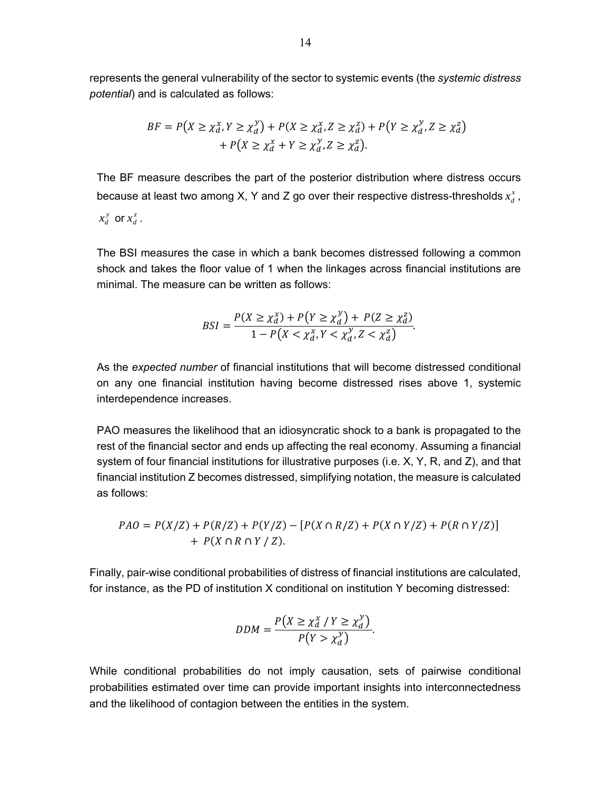represents the general vulnerability of the sector to systemic events (the *systemic distress potential*) and is calculated as follows:

$$
BF = P(X \ge \chi_d^x, Y \ge \chi_d^y) + P(X \ge \chi_d^x, Z \ge \chi_d^z) + P(Y \ge \chi_d^y, Z \ge \chi_d^z) + P(X \ge \chi_d^x + Y \ge \chi_d^y, Z \ge \chi_d^z).
$$

The BF measure describes the part of the posterior distribution where distress occurs because at least two among X, Y and Z go over their respective distress-thresholds  $x_d^x$  ,

 $x_d^y$  or  $x_d^z$ .

The BSI measures the case in which a bank becomes distressed following a common shock and takes the floor value of 1 when the linkages across financial institutions are minimal. The measure can be written as follows:

$$
BSI = \frac{P(X \ge \chi_d^x) + P(Y \ge \chi_d^y) + P(Z \ge \chi_d^z)}{1 - P(X < \chi_d^x, Y < \chi_d^y, Z < \chi_d^z)}.
$$

As the *expected number* of financial institutions that will become distressed conditional on any one financial institution having become distressed rises above 1, systemic interdependence increases.

PAO measures the likelihood that an idiosyncratic shock to a bank is propagated to the rest of the financial sector and ends up affecting the real economy. Assuming a financial system of four financial institutions for illustrative purposes (i.e. X, Y, R, and Z), and that financial institution Z becomes distressed, simplifying notation, the measure is calculated as follows:

$$
PAO = P(X/Z) + P(R/Z) + P(Y/Z) - [P(X \cap R/Z) + P(X \cap Y/Z) + P(R \cap Y/Z)] + P(X \cap R \cap Y/Z).
$$

Finally, pair-wise conditional probabilities of distress of financial institutions are calculated, for instance, as the PD of institution X conditional on institution Y becoming distressed:

$$
DDM = \frac{P(X \geq \chi_d^x / Y \geq \chi_d^y)}{P(Y > \chi_d^y)}.
$$

While conditional probabilities do not imply causation, sets of pairwise conditional probabilities estimated over time can provide important insights into interconnectedness and the likelihood of contagion between the entities in the system.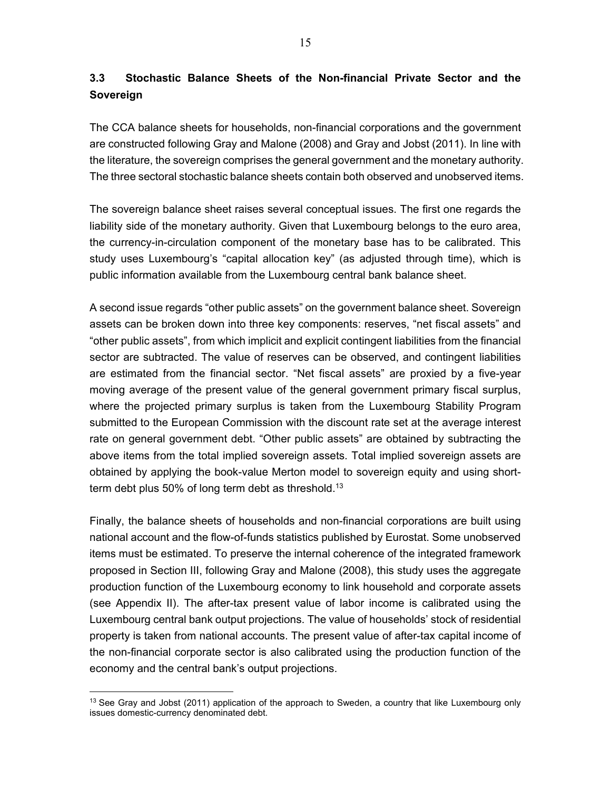# **3.3 Stochastic Balance Sheets of the Non-financial Private Sector and the Sovereign**

The CCA balance sheets for households, non-financial corporations and the government are constructed following Gray and Malone (2008) and Gray and Jobst (2011). In line with the literature, the sovereign comprises the general government and the monetary authority. The three sectoral stochastic balance sheets contain both observed and unobserved items.

The sovereign balance sheet raises several conceptual issues. The first one regards the liability side of the monetary authority. Given that Luxembourg belongs to the euro area, the currency-in-circulation component of the monetary base has to be calibrated. This study uses Luxembourg's "capital allocation key" (as adjusted through time), which is public information available from the Luxembourg central bank balance sheet.

A second issue regards "other public assets" on the government balance sheet. Sovereign assets can be broken down into three key components: reserves, "net fiscal assets" and "other public assets", from which implicit and explicit contingent liabilities from the financial sector are subtracted. The value of reserves can be observed, and contingent liabilities are estimated from the financial sector. "Net fiscal assets" are proxied by a five-year moving average of the present value of the general government primary fiscal surplus, where the projected primary surplus is taken from the Luxembourg Stability Program submitted to the European Commission with the discount rate set at the average interest rate on general government debt. "Other public assets" are obtained by subtracting the above items from the total implied sovereign assets. Total implied sovereign assets are obtained by applying the book-value Merton model to sovereign equity and using shortterm debt plus 50% of long term debt as threshold.<sup>13</sup>

Finally, the balance sheets of households and non-financial corporations are built using national account and the flow-of-funds statistics published by Eurostat. Some unobserved items must be estimated. To preserve the internal coherence of the integrated framework proposed in Section III, following Gray and Malone (2008), this study uses the aggregate production function of the Luxembourg economy to link household and corporate assets (see Appendix II). The after-tax present value of labor income is calibrated using the Luxembourg central bank output projections. The value of households' stock of residential property is taken from national accounts. The present value of after-tax capital income of the non-financial corporate sector is also calibrated using the production function of the economy and the central bank's output projections.

 $\overline{a}$ 

<sup>&</sup>lt;sup>13</sup> See Gray and Jobst (2011) application of the approach to Sweden, a country that like Luxembourg only issues domestic-currency denominated debt.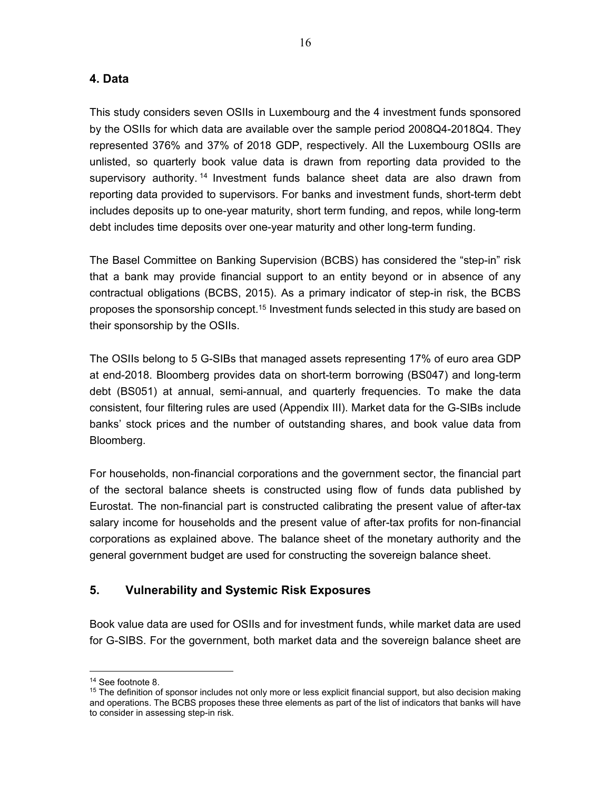### **4. Data**

This study considers seven OSIIs in Luxembourg and the 4 investment funds sponsored by the OSIIs for which data are available over the sample period 2008Q4-2018Q4. They represented 376% and 37% of 2018 GDP, respectively. All the Luxembourg OSIIs are unlisted, so quarterly book value data is drawn from reporting data provided to the supervisory authority. 14 Investment funds balance sheet data are also drawn from reporting data provided to supervisors. For banks and investment funds, short-term debt includes deposits up to one-year maturity, short term funding, and repos, while long-term debt includes time deposits over one-year maturity and other long-term funding.

The Basel Committee on Banking Supervision (BCBS) has considered the "step-in" risk that a bank may provide financial support to an entity beyond or in absence of any contractual obligations (BCBS, 2015). As a primary indicator of step-in risk, the BCBS proposes the sponsorship concept.<sup>15</sup> Investment funds selected in this study are based on their sponsorship by the OSIIs.

The OSIIs belong to 5 G-SIBs that managed assets representing 17% of euro area GDP at end-2018. Bloomberg provides data on short-term borrowing (BS047) and long-term debt (BS051) at annual, semi-annual, and quarterly frequencies. To make the data consistent, four filtering rules are used (Appendix III). Market data for the G-SIBs include banks' stock prices and the number of outstanding shares, and book value data from Bloomberg.

For households, non-financial corporations and the government sector, the financial part of the sectoral balance sheets is constructed using flow of funds data published by Eurostat. The non-financial part is constructed calibrating the present value of after-tax salary income for households and the present value of after-tax profits for non-financial corporations as explained above. The balance sheet of the monetary authority and the general government budget are used for constructing the sovereign balance sheet.

# **5. Vulnerability and Systemic Risk Exposures**

Book value data are used for OSIIs and for investment funds, while market data are used for G-SIBS. For the government, both market data and the sovereign balance sheet are

 $\overline{a}$ 

<sup>14</sup> See footnote 8.

<sup>&</sup>lt;sup>15</sup> The definition of sponsor includes not only more or less explicit financial support, but also decision making and operations. The BCBS proposes these three elements as part of the list of indicators that banks will have to consider in assessing step-in risk.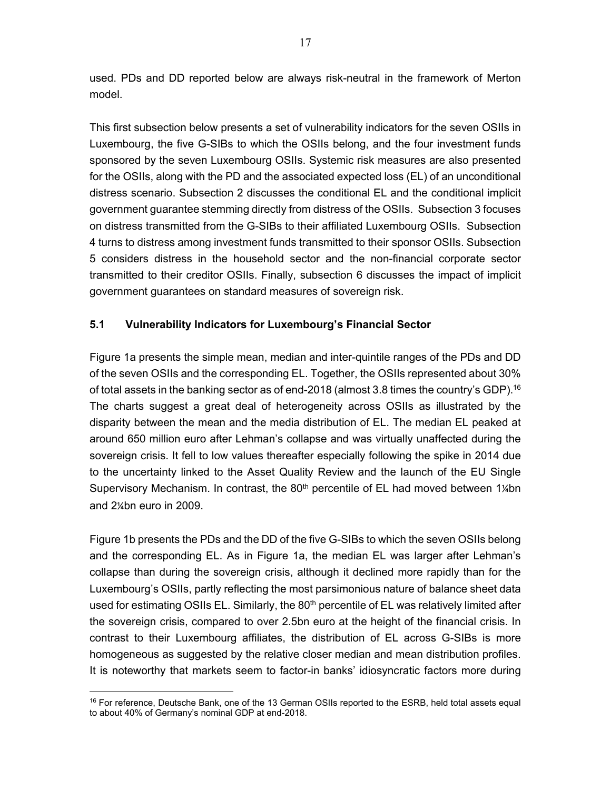used. PDs and DD reported below are always risk-neutral in the framework of Merton model.

This first subsection below presents a set of vulnerability indicators for the seven OSIIs in Luxembourg, the five G-SIBs to which the OSIIs belong, and the four investment funds sponsored by the seven Luxembourg OSIIs. Systemic risk measures are also presented for the OSIIs, along with the PD and the associated expected loss (EL) of an unconditional distress scenario. Subsection 2 discusses the conditional EL and the conditional implicit government guarantee stemming directly from distress of the OSIIs. Subsection 3 focuses on distress transmitted from the G-SIBs to their affiliated Luxembourg OSIIs. Subsection 4 turns to distress among investment funds transmitted to their sponsor OSIIs. Subsection 5 considers distress in the household sector and the non-financial corporate sector transmitted to their creditor OSIIs. Finally, subsection 6 discusses the impact of implicit government guarantees on standard measures of sovereign risk.

# **5.1 Vulnerability Indicators for Luxembourg's Financial Sector**

Figure 1a presents the simple mean, median and inter-quintile ranges of the PDs and DD of the seven OSIIs and the corresponding EL. Together, the OSIIs represented about 30% of total assets in the banking sector as of end-2018 (almost 3.8 times the country's GDP).<sup>16</sup> The charts suggest a great deal of heterogeneity across OSIIs as illustrated by the disparity between the mean and the media distribution of EL. The median EL peaked at around 650 million euro after Lehman's collapse and was virtually unaffected during the sovereign crisis. It fell to low values thereafter especially following the spike in 2014 due to the uncertainty linked to the Asset Quality Review and the launch of the EU Single Supervisory Mechanism. In contrast, the 80<sup>th</sup> percentile of EL had moved between 1¼bn and 2¼bn euro in 2009.

Figure 1b presents the PDs and the DD of the five G-SIBs to which the seven OSIIs belong and the corresponding EL. As in Figure 1a, the median EL was larger after Lehman's collapse than during the sovereign crisis, although it declined more rapidly than for the Luxembourg's OSIIs, partly reflecting the most parsimonious nature of balance sheet data used for estimating OSIIs EL. Similarly, the 80<sup>th</sup> percentile of EL was relatively limited after the sovereign crisis, compared to over 2.5bn euro at the height of the financial crisis. In contrast to their Luxembourg affiliates, the distribution of EL across G-SIBs is more homogeneous as suggested by the relative closer median and mean distribution profiles. It is noteworthy that markets seem to factor-in banks' idiosyncratic factors more during

 $\overline{a}$ <sup>16</sup> For reference, Deutsche Bank, one of the 13 German OSIIs reported to the ESRB, held total assets equal to about 40% of Germany's nominal GDP at end-2018.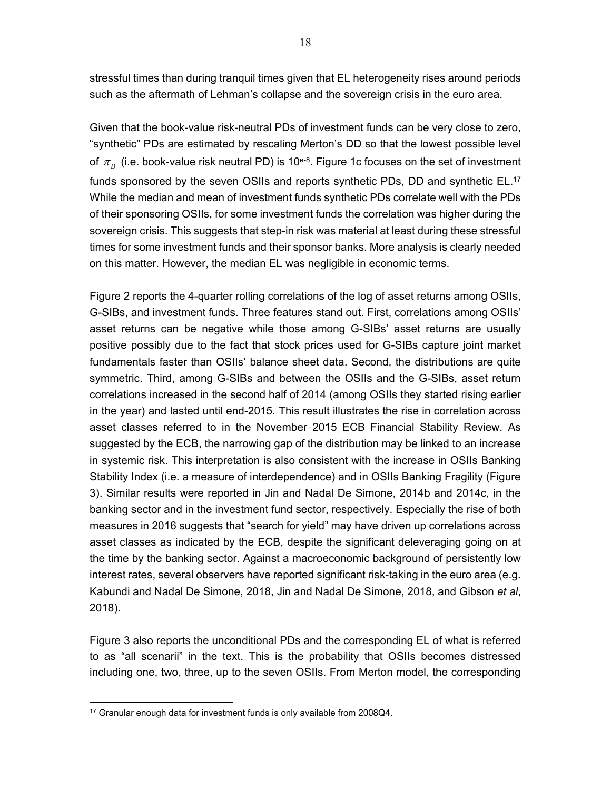stressful times than during tranquil times given that EL heterogeneity rises around periods such as the aftermath of Lehman's collapse and the sovereign crisis in the euro area.

Given that the book-value risk-neutral PDs of investment funds can be very close to zero, "synthetic" PDs are estimated by rescaling Merton's DD so that the lowest possible level of  $\pi_R$  (i.e. book-value risk neutral PD) is 10<sup>e-8</sup>. Figure 1c focuses on the set of investment funds sponsored by the seven OSIIs and reports synthetic PDs, DD and synthetic EL.<sup>17</sup> While the median and mean of investment funds synthetic PDs correlate well with the PDs of their sponsoring OSIIs, for some investment funds the correlation was higher during the sovereign crisis. This suggests that step-in risk was material at least during these stressful times for some investment funds and their sponsor banks. More analysis is clearly needed on this matter. However, the median EL was negligible in economic terms.

Figure 2 reports the 4-quarter rolling correlations of the log of asset returns among OSIIs, G-SIBs, and investment funds. Three features stand out. First, correlations among OSIIs' asset returns can be negative while those among G-SIBs' asset returns are usually positive possibly due to the fact that stock prices used for G-SIBs capture joint market fundamentals faster than OSIIs' balance sheet data. Second, the distributions are quite symmetric. Third, among G-SIBs and between the OSIIs and the G-SIBs, asset return correlations increased in the second half of 2014 (among OSIIs they started rising earlier in the year) and lasted until end-2015. This result illustrates the rise in correlation across asset classes referred to in the November 2015 ECB Financial Stability Review. As suggested by the ECB, the narrowing gap of the distribution may be linked to an increase in systemic risk. This interpretation is also consistent with the increase in OSIIs Banking Stability Index (i.e. a measure of interdependence) and in OSIIs Banking Fragility (Figure 3). Similar results were reported in Jin and Nadal De Simone, 2014b and 2014c, in the banking sector and in the investment fund sector, respectively. Especially the rise of both measures in 2016 suggests that "search for yield" may have driven up correlations across asset classes as indicated by the ECB, despite the significant deleveraging going on at the time by the banking sector. Against a macroeconomic background of persistently low interest rates, several observers have reported significant risk-taking in the euro area (e.g. Kabundi and Nadal De Simone, 2018, Jin and Nadal De Simone, 2018, and Gibson *et al*, 2018).

Figure 3 also reports the unconditional PDs and the corresponding EL of what is referred to as "all scenarii" in the text. This is the probability that OSIIs becomes distressed including one, two, three, up to the seven OSIIs. From Merton model, the corresponding

 $\overline{a}$ <sup>17</sup> Granular enough data for investment funds is only available from 2008Q4.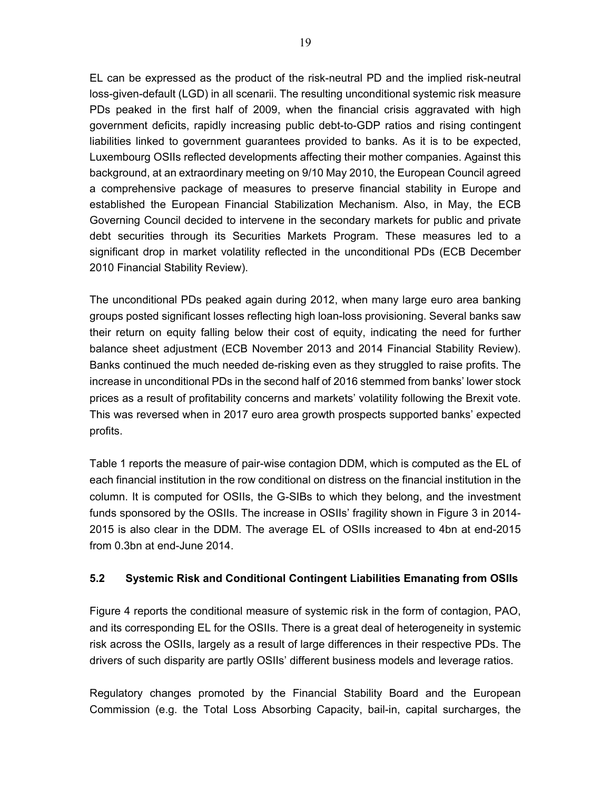EL can be expressed as the product of the risk-neutral PD and the implied risk-neutral loss-given-default (LGD) in all scenarii. The resulting unconditional systemic risk measure PDs peaked in the first half of 2009, when the financial crisis aggravated with high government deficits, rapidly increasing public debt-to-GDP ratios and rising contingent liabilities linked to government guarantees provided to banks. As it is to be expected, Luxembourg OSIIs reflected developments affecting their mother companies. Against this background, at an extraordinary meeting on 9/10 May 2010, the European Council agreed a comprehensive package of measures to preserve financial stability in Europe and established the European Financial Stabilization Mechanism. Also, in May, the ECB Governing Council decided to intervene in the secondary markets for public and private debt securities through its Securities Markets Program. These measures led to a significant drop in market volatility reflected in the unconditional PDs (ECB December 2010 Financial Stability Review).

The unconditional PDs peaked again during 2012, when many large euro area banking groups posted significant losses reflecting high loan-loss provisioning. Several banks saw their return on equity falling below their cost of equity, indicating the need for further balance sheet adjustment (ECB November 2013 and 2014 Financial Stability Review). Banks continued the much needed de-risking even as they struggled to raise profits. The increase in unconditional PDs in the second half of 2016 stemmed from banks' lower stock prices as a result of profitability concerns and markets' volatility following the Brexit vote. This was reversed when in 2017 euro area growth prospects supported banks' expected profits.

Table 1 reports the measure of pair-wise contagion DDM, which is computed as the EL of each financial institution in the row conditional on distress on the financial institution in the column. It is computed for OSIIs, the G-SIBs to which they belong, and the investment funds sponsored by the OSIIs. The increase in OSIIs' fragility shown in Figure 3 in 2014- 2015 is also clear in the DDM. The average EL of OSIIs increased to 4bn at end-2015 from 0.3bn at end-June 2014.

# **5.2 Systemic Risk and Conditional Contingent Liabilities Emanating from OSIIs**

Figure 4 reports the conditional measure of systemic risk in the form of contagion, PAO, and its corresponding EL for the OSIIs. There is a great deal of heterogeneity in systemic risk across the OSIIs, largely as a result of large differences in their respective PDs. The drivers of such disparity are partly OSIIs' different business models and leverage ratios.

Regulatory changes promoted by the Financial Stability Board and the European Commission (e.g. the Total Loss Absorbing Capacity, bail-in, capital surcharges, the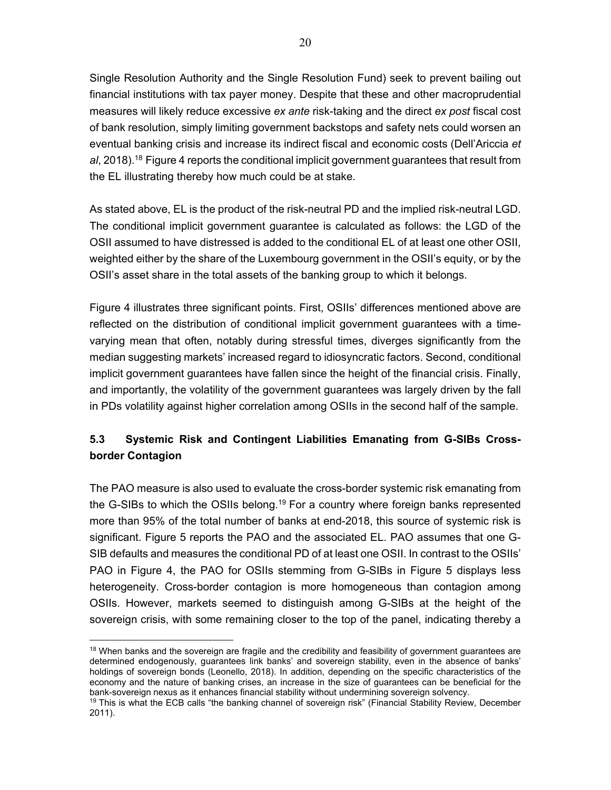Single Resolution Authority and the Single Resolution Fund) seek to prevent bailing out financial institutions with tax payer money. Despite that these and other macroprudential measures will likely reduce excessive *ex ante* risk-taking and the direct *ex post* fiscal cost of bank resolution, simply limiting government backstops and safety nets could worsen an eventual banking crisis and increase its indirect fiscal and economic costs (Dell'Ariccia *et al*, 2018).18 Figure 4 reports the conditional implicit government guarantees that result from the EL illustrating thereby how much could be at stake.

As stated above, EL is the product of the risk-neutral PD and the implied risk-neutral LGD. The conditional implicit government guarantee is calculated as follows: the LGD of the OSII assumed to have distressed is added to the conditional EL of at least one other OSII, weighted either by the share of the Luxembourg government in the OSII's equity, or by the OSII's asset share in the total assets of the banking group to which it belongs.

Figure 4 illustrates three significant points. First, OSIIs' differences mentioned above are reflected on the distribution of conditional implicit government guarantees with a timevarying mean that often, notably during stressful times, diverges significantly from the median suggesting markets' increased regard to idiosyncratic factors. Second, conditional implicit government guarantees have fallen since the height of the financial crisis. Finally, and importantly, the volatility of the government guarantees was largely driven by the fall in PDs volatility against higher correlation among OSIIs in the second half of the sample.

# **5.3 Systemic Risk and Contingent Liabilities Emanating from G-SIBs Crossborder Contagion**

The PAO measure is also used to evaluate the cross-border systemic risk emanating from the G-SIBs to which the OSIIs belong.<sup>19</sup> For a country where foreign banks represented more than 95% of the total number of banks at end-2018, this source of systemic risk is significant. Figure 5 reports the PAO and the associated EL. PAO assumes that one G-SIB defaults and measures the conditional PD of at least one OSII. In contrast to the OSIIs' PAO in Figure 4, the PAO for OSIIs stemming from G-SIBs in Figure 5 displays less heterogeneity. Cross-border contagion is more homogeneous than contagion among OSIIs. However, markets seemed to distinguish among G-SIBs at the height of the sovereign crisis, with some remaining closer to the top of the panel, indicating thereby a

 $\overline{a}$ 

<sup>&</sup>lt;sup>18</sup> When banks and the sovereign are fragile and the credibility and feasibility of government guarantees are determined endogenously, guarantees link banks' and sovereign stability, even in the absence of banks' holdings of sovereign bonds (Leonello, 2018). In addition, depending on the specific characteristics of the economy and the nature of banking crises, an increase in the size of guarantees can be beneficial for the bank-sovereign nexus as it enhances financial stability without undermining sovereign solvency.<br><sup>19</sup> This is what the ECB calls "the banking channel of sovereign risk" (Financial Stability Review, December

<sup>2011).</sup>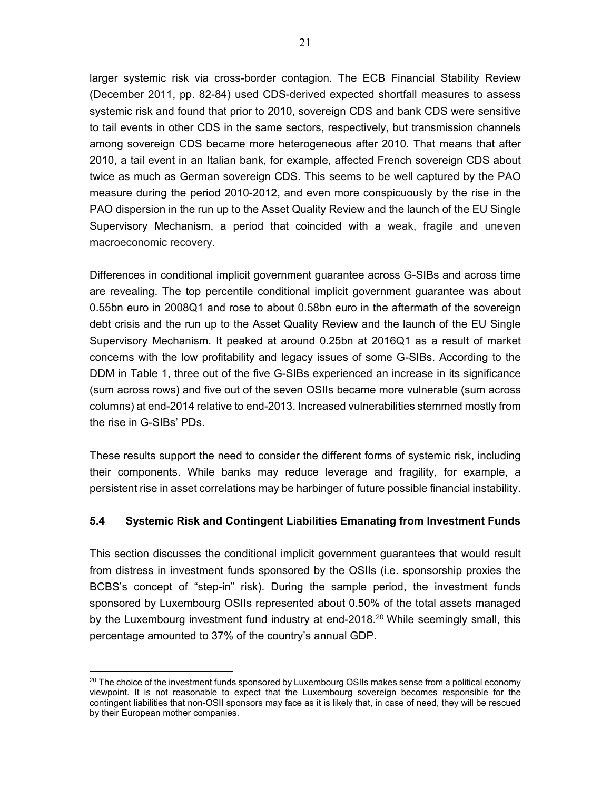larger systemic risk via cross-border contagion. The ECB Financial Stability Review (December 2011, pp. 82-84) used CDS-derived expected shortfall measures to assess systemic risk and found that prior to 2010, sovereign CDS and bank CDS were sensitive to tail events in other CDS in the same sectors, respectively, but transmission channels among sovereign CDS became more heterogeneous after 2010. That means that after 2010, a tail event in an Italian bank, for example, affected French sovereign CDS about twice as much as German sovereign CDS. This seems to be well captured by the PAO measure during the period 2010-2012, and even more conspicuously by the rise in the PAO dispersion in the run up to the Asset Quality Review and the launch of the EU Single Supervisory Mechanism, a period that coincided with a weak, fragile and uneven macroeconomic recovery.

Differences in conditional implicit government guarantee across G-SIBs and across time are revealing. The top percentile conditional implicit government guarantee was about 0.55bn euro in 2008Q1 and rose to about 0.58bn euro in the aftermath of the sovereign debt crisis and the run up to the Asset Quality Review and the launch of the EU Single Supervisory Mechanism. It peaked at around 0.25bn at 2016Q1 as a result of market concerns with the low profitability and legacy issues of some G-SIBs. According to the DDM in Table 1, three out of the five G-SIBs experienced an increase in its significance (sum across rows) and five out of the seven OSIIs became more vulnerable (sum across columns) at end-2014 relative to end-2013. Increased vulnerabilities stemmed mostly from the rise in G-SIBs' PDs.

These results support the need to consider the different forms of systemic risk, including their components. While banks may reduce leverage and fragility, for example, a persistent rise in asset correlations may be harbinger of future possible financial instability.

# **5.4 Systemic Risk and Contingent Liabilities Emanating from Investment Funds**

This section discusses the conditional implicit government guarantees that would result from distress in investment funds sponsored by the OSIIs (i.e. sponsorship proxies the BCBS's concept of "step-in" risk). During the sample period, the investment funds sponsored by Luxembourg OSIIs represented about 0.50% of the total assets managed by the Luxembourg investment fund industry at end-2018.<sup>20</sup> While seemingly small, this percentage amounted to 37% of the country's annual GDP.

 $\overline{a}$ 

 $^{20}$  The choice of the investment funds sponsored by Luxembourg OSIIs makes sense from a political economy viewpoint. It is not reasonable to expect that the Luxembourg sovereign becomes responsible for the contingent liabilities that non-OSII sponsors may face as it is likely that, in case of need, they will be rescued by their European mother companies.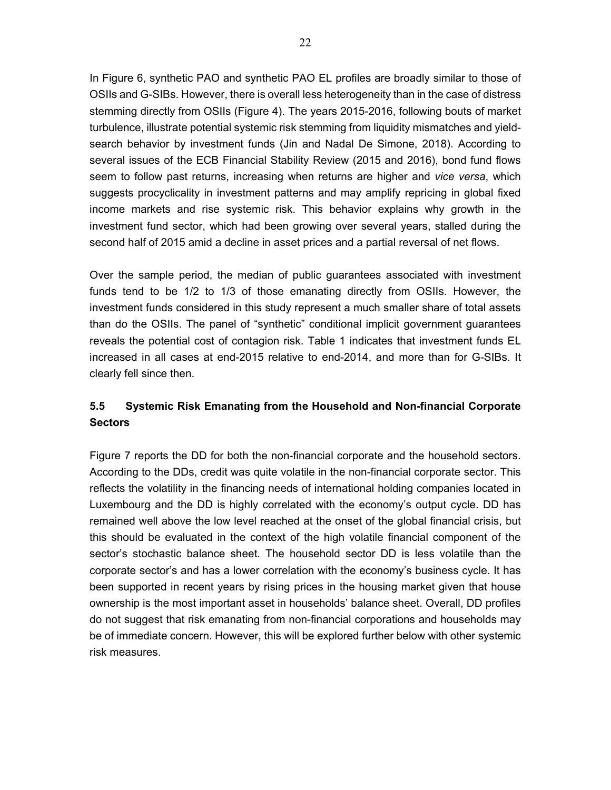In Figure 6, synthetic PAO and synthetic PAO EL profiles are broadly similar to those of OSIIs and G-SIBs. However, there is overall less heterogeneity than in the case of distress stemming directly from OSIIs (Figure 4). The years 2015-2016, following bouts of market turbulence, illustrate potential systemic risk stemming from liquidity mismatches and yieldsearch behavior by investment funds (Jin and Nadal De Simone, 2018). According to several issues of the ECB Financial Stability Review (2015 and 2016), bond fund flows seem to follow past returns, increasing when returns are higher and *vice versa*, which suggests procyclicality in investment patterns and may amplify repricing in global fixed income markets and rise systemic risk. This behavior explains why growth in the investment fund sector, which had been growing over several years, stalled during the second half of 2015 amid a decline in asset prices and a partial reversal of net flows.

Over the sample period, the median of public guarantees associated with investment funds tend to be 1/2 to 1/3 of those emanating directly from OSIIs. However, the investment funds considered in this study represent a much smaller share of total assets than do the OSIIs. The panel of "synthetic" conditional implicit government guarantees reveals the potential cost of contagion risk. Table 1 indicates that investment funds EL increased in all cases at end-2015 relative to end-2014, and more than for G-SIBs. It clearly fell since then.

# **5.5 Systemic Risk Emanating from the Household and Non-financial Corporate Sectors**

Figure 7 reports the DD for both the non-financial corporate and the household sectors. According to the DDs, credit was quite volatile in the non-financial corporate sector. This reflects the volatility in the financing needs of international holding companies located in Luxembourg and the DD is highly correlated with the economy's output cycle. DD has remained well above the low level reached at the onset of the global financial crisis, but this should be evaluated in the context of the high volatile financial component of the sector's stochastic balance sheet. The household sector DD is less volatile than the corporate sector's and has a lower correlation with the economy's business cycle. It has been supported in recent years by rising prices in the housing market given that house ownership is the most important asset in households' balance sheet. Overall, DD profiles do not suggest that risk emanating from non-financial corporations and households may be of immediate concern. However, this will be explored further below with other systemic risk measures.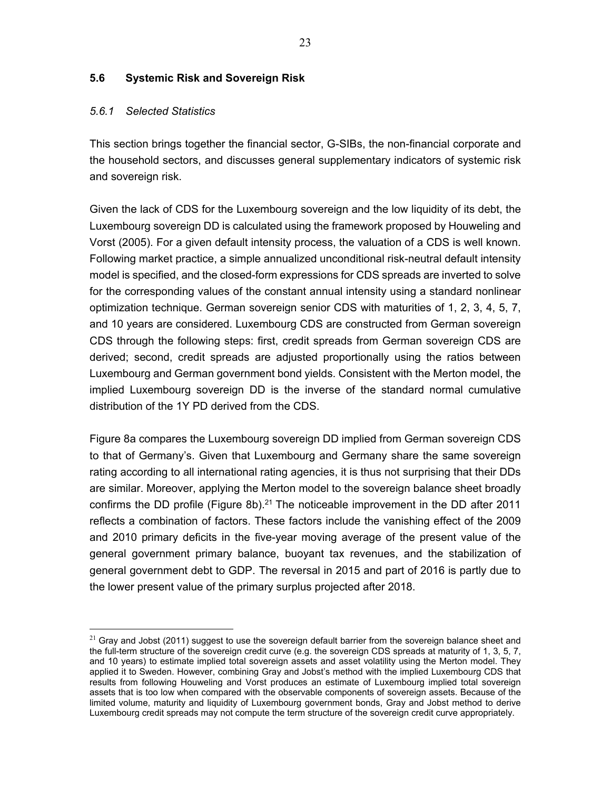### **5.6 Systemic Risk and Sovereign Risk**

#### *5.6.1 Selected Statistics*

 $\overline{a}$ 

This section brings together the financial sector, G-SIBs, the non-financial corporate and the household sectors, and discusses general supplementary indicators of systemic risk and sovereign risk.

Given the lack of CDS for the Luxembourg sovereign and the low liquidity of its debt, the Luxembourg sovereign DD is calculated using the framework proposed by Houweling and Vorst (2005). For a given default intensity process, the valuation of a CDS is well known. Following market practice, a simple annualized unconditional risk-neutral default intensity model is specified, and the closed-form expressions for CDS spreads are inverted to solve for the corresponding values of the constant annual intensity using a standard nonlinear optimization technique. German sovereign senior CDS with maturities of 1, 2, 3, 4, 5, 7, and 10 years are considered. Luxembourg CDS are constructed from German sovereign CDS through the following steps: first, credit spreads from German sovereign CDS are derived; second, credit spreads are adjusted proportionally using the ratios between Luxembourg and German government bond yields. Consistent with the Merton model, the implied Luxembourg sovereign DD is the inverse of the standard normal cumulative distribution of the 1Y PD derived from the CDS.

Figure 8a compares the Luxembourg sovereign DD implied from German sovereign CDS to that of Germany's. Given that Luxembourg and Germany share the same sovereign rating according to all international rating agencies, it is thus not surprising that their DDs are similar. Moreover, applying the Merton model to the sovereign balance sheet broadly confirms the DD profile (Figure 8b).<sup>21</sup> The noticeable improvement in the DD after 2011 reflects a combination of factors. These factors include the vanishing effect of the 2009 and 2010 primary deficits in the five-year moving average of the present value of the general government primary balance, buoyant tax revenues, and the stabilization of general government debt to GDP. The reversal in 2015 and part of 2016 is partly due to the lower present value of the primary surplus projected after 2018.

 $21$  Grav and Jobst (2011) suggest to use the sovereign default barrier from the sovereign balance sheet and the full-term structure of the sovereign credit curve (e.g. the sovereign CDS spreads at maturity of 1, 3, 5, 7, and 10 years) to estimate implied total sovereign assets and asset volatility using the Merton model. They applied it to Sweden. However, combining Gray and Jobst's method with the implied Luxembourg CDS that results from following Houweling and Vorst produces an estimate of Luxembourg implied total sovereign assets that is too low when compared with the observable components of sovereign assets. Because of the limited volume, maturity and liquidity of Luxembourg government bonds, Gray and Jobst method to derive Luxembourg credit spreads may not compute the term structure of the sovereign credit curve appropriately.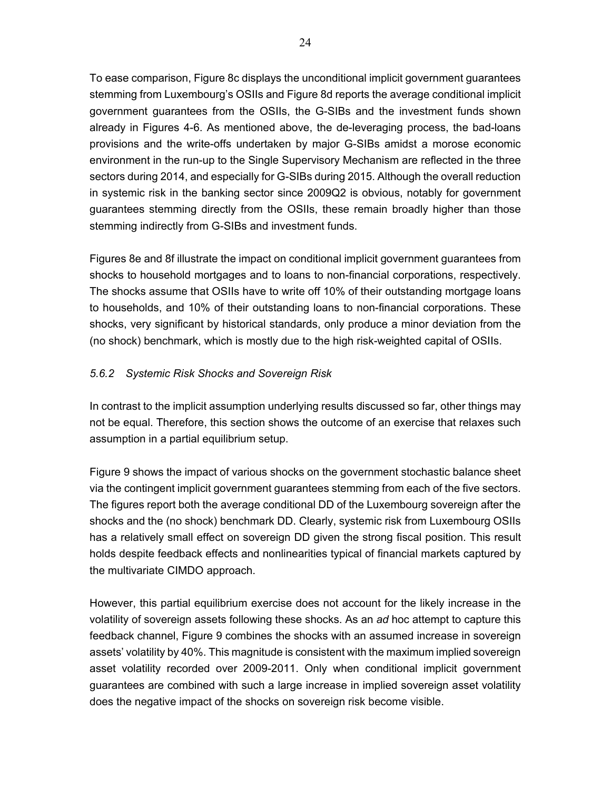To ease comparison, Figure 8c displays the unconditional implicit government guarantees stemming from Luxembourg's OSIIs and Figure 8d reports the average conditional implicit government guarantees from the OSIIs, the G-SIBs and the investment funds shown already in Figures 4-6. As mentioned above, the de-leveraging process, the bad-loans provisions and the write-offs undertaken by major G-SIBs amidst a morose economic environment in the run-up to the Single Supervisory Mechanism are reflected in the three sectors during 2014, and especially for G-SIBs during 2015. Although the overall reduction in systemic risk in the banking sector since 2009Q2 is obvious, notably for government guarantees stemming directly from the OSIIs, these remain broadly higher than those stemming indirectly from G-SIBs and investment funds.

Figures 8e and 8f illustrate the impact on conditional implicit government guarantees from shocks to household mortgages and to loans to non-financial corporations, respectively. The shocks assume that OSIIs have to write off 10% of their outstanding mortgage loans to households, and 10% of their outstanding loans to non-financial corporations. These shocks, very significant by historical standards, only produce a minor deviation from the (no shock) benchmark, which is mostly due to the high risk-weighted capital of OSIIs.

# *5.6.2 Systemic Risk Shocks and Sovereign Risk*

In contrast to the implicit assumption underlying results discussed so far, other things may not be equal. Therefore, this section shows the outcome of an exercise that relaxes such assumption in a partial equilibrium setup.

Figure 9 shows the impact of various shocks on the government stochastic balance sheet via the contingent implicit government guarantees stemming from each of the five sectors. The figures report both the average conditional DD of the Luxembourg sovereign after the shocks and the (no shock) benchmark DD. Clearly, systemic risk from Luxembourg OSIIs has a relatively small effect on sovereign DD given the strong fiscal position. This result holds despite feedback effects and nonlinearities typical of financial markets captured by the multivariate CIMDO approach.

However, this partial equilibrium exercise does not account for the likely increase in the volatility of sovereign assets following these shocks. As an *ad* hoc attempt to capture this feedback channel, Figure 9 combines the shocks with an assumed increase in sovereign assets' volatility by 40%. This magnitude is consistent with the maximum implied sovereign asset volatility recorded over 2009-2011. Only when conditional implicit government guarantees are combined with such a large increase in implied sovereign asset volatility does the negative impact of the shocks on sovereign risk become visible.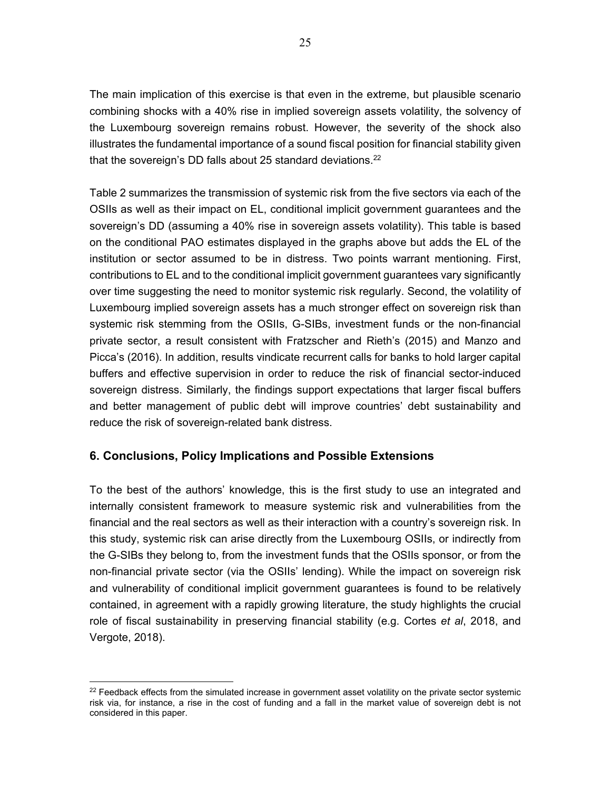The main implication of this exercise is that even in the extreme, but plausible scenario combining shocks with a 40% rise in implied sovereign assets volatility, the solvency of the Luxembourg sovereign remains robust. However, the severity of the shock also illustrates the fundamental importance of a sound fiscal position for financial stability given that the sovereign's DD falls about 25 standard deviations. $^{22}$ 

Table 2 summarizes the transmission of systemic risk from the five sectors via each of the OSIIs as well as their impact on EL, conditional implicit government guarantees and the sovereign's DD (assuming a 40% rise in sovereign assets volatility). This table is based on the conditional PAO estimates displayed in the graphs above but adds the EL of the institution or sector assumed to be in distress. Two points warrant mentioning. First, contributions to EL and to the conditional implicit government guarantees vary significantly over time suggesting the need to monitor systemic risk regularly. Second, the volatility of Luxembourg implied sovereign assets has a much stronger effect on sovereign risk than systemic risk stemming from the OSIIs, G-SIBs, investment funds or the non-financial private sector, a result consistent with Fratzscher and Rieth's (2015) and Manzo and Picca's (2016). In addition, results vindicate recurrent calls for banks to hold larger capital buffers and effective supervision in order to reduce the risk of financial sector-induced sovereign distress. Similarly, the findings support expectations that larger fiscal buffers and better management of public debt will improve countries' debt sustainability and reduce the risk of sovereign-related bank distress.

# **6. Conclusions, Policy Implications and Possible Extensions**

 $\overline{a}$ 

To the best of the authors' knowledge, this is the first study to use an integrated and internally consistent framework to measure systemic risk and vulnerabilities from the financial and the real sectors as well as their interaction with a country's sovereign risk. In this study, systemic risk can arise directly from the Luxembourg OSIIs, or indirectly from the G-SIBs they belong to, from the investment funds that the OSIIs sponsor, or from the non-financial private sector (via the OSIIs' lending). While the impact on sovereign risk and vulnerability of conditional implicit government guarantees is found to be relatively contained, in agreement with a rapidly growing literature, the study highlights the crucial role of fiscal sustainability in preserving financial stability (e.g. Cortes *et al*, 2018, and Vergote, 2018).

 $22$  Feedback effects from the simulated increase in government asset volatility on the private sector systemic risk via, for instance, a rise in the cost of funding and a fall in the market value of sovereign debt is not considered in this paper.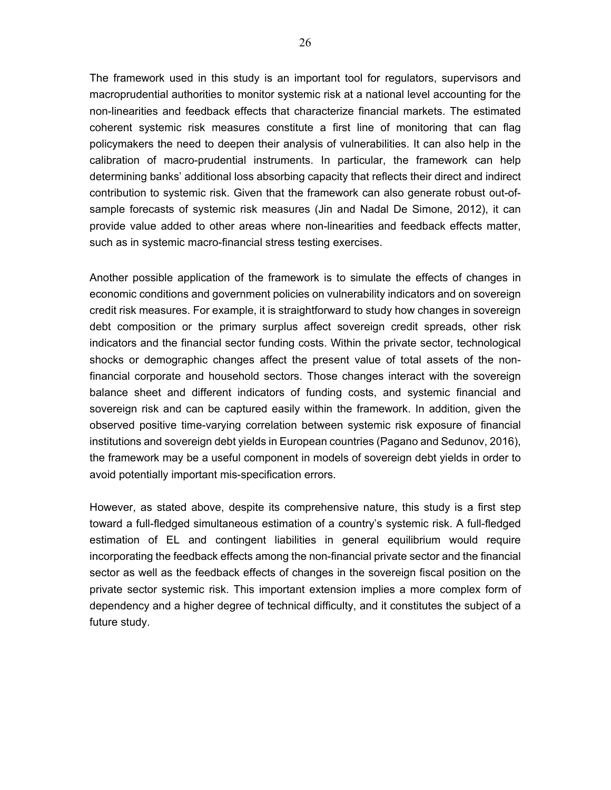The framework used in this study is an important tool for regulators, supervisors and macroprudential authorities to monitor systemic risk at a national level accounting for the non-linearities and feedback effects that characterize financial markets. The estimated coherent systemic risk measures constitute a first line of monitoring that can flag policymakers the need to deepen their analysis of vulnerabilities. It can also help in the calibration of macro-prudential instruments. In particular, the framework can help determining banks' additional loss absorbing capacity that reflects their direct and indirect contribution to systemic risk. Given that the framework can also generate robust out-ofsample forecasts of systemic risk measures (Jin and Nadal De Simone, 2012), it can provide value added to other areas where non-linearities and feedback effects matter, such as in systemic macro-financial stress testing exercises.

Another possible application of the framework is to simulate the effects of changes in economic conditions and government policies on vulnerability indicators and on sovereign credit risk measures. For example, it is straightforward to study how changes in sovereign debt composition or the primary surplus affect sovereign credit spreads, other risk indicators and the financial sector funding costs. Within the private sector, technological shocks or demographic changes affect the present value of total assets of the nonfinancial corporate and household sectors. Those changes interact with the sovereign balance sheet and different indicators of funding costs, and systemic financial and sovereign risk and can be captured easily within the framework. In addition, given the observed positive time-varying correlation between systemic risk exposure of financial institutions and sovereign debt yields in European countries (Pagano and Sedunov, 2016), the framework may be a useful component in models of sovereign debt yields in order to avoid potentially important mis-specification errors.

However, as stated above, despite its comprehensive nature, this study is a first step toward a full-fledged simultaneous estimation of a country's systemic risk. A full-fledged estimation of EL and contingent liabilities in general equilibrium would require incorporating the feedback effects among the non-financial private sector and the financial sector as well as the feedback effects of changes in the sovereign fiscal position on the private sector systemic risk. This important extension implies a more complex form of dependency and a higher degree of technical difficulty, and it constitutes the subject of a future study.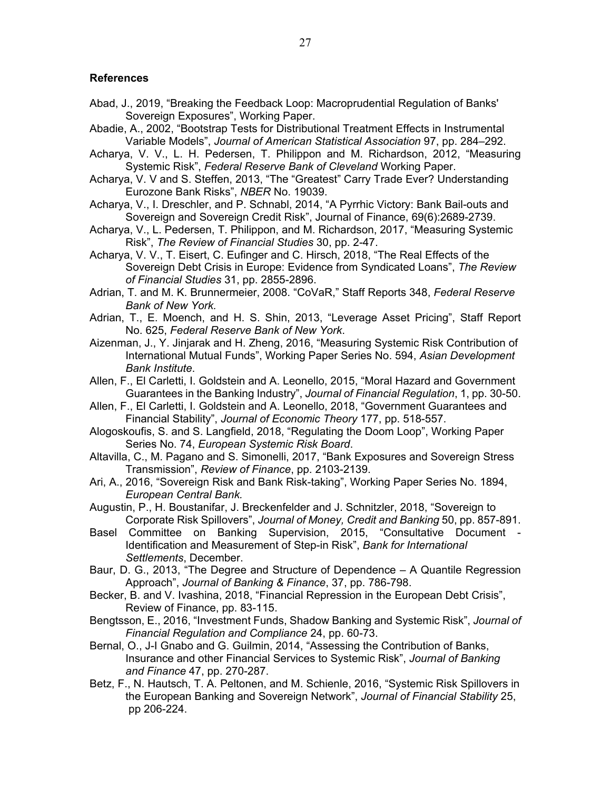#### **References**

- Abad, J., 2019, "Breaking the Feedback Loop: Macroprudential Regulation of Banks' Sovereign Exposures", Working Paper.
- Abadie, A., 2002, "Bootstrap Tests for Distributional Treatment Effects in Instrumental Variable Models", *Journal of American Statistical Association* 97, pp. 284–292.
- Acharya, V. V., L. H. Pedersen, T. Philippon and M. Richardson, 2012, "Measuring Systemic Risk", *Federal Reserve Bank of Cleveland* Working Paper.
- Acharya, V. V and S. Steffen, 2013, "The "Greatest" Carry Trade Ever? Understanding Eurozone Bank Risks", *NBER* No. 19039.
- Acharya, V., I. Dreschler, and P. Schnabl, 2014, "A Pyrrhic Victory: Bank Bail-outs and Sovereign and Sovereign Credit Risk", Journal of Finance, 69(6):2689-2739.
- Acharya, V., L. Pedersen, T. Philippon, and M. Richardson, 2017, "Measuring Systemic Risk", *The Review of Financial Studies* 30, pp. 2-47.
- Acharya, V. V., T. Eisert, C. Eufinger and C. Hirsch, 2018, "The Real Effects of the Sovereign Debt Crisis in Europe: Evidence from Syndicated Loans", *The Review of Financial Studies* 31, pp. 2855-2896.
- Adrian, T. and M. K. Brunnermeier, 2008. "CoVaR," Staff Reports 348, *Federal Reserve Bank of New York.*
- Adrian, T., E. Moench, and H. S. Shin, 2013, "Leverage Asset Pricing", Staff Report No. 625, *Federal Reserve Bank of New York*.
- Aizenman, J., Y. Jinjarak and H. Zheng, 2016, "Measuring Systemic Risk Contribution of International Mutual Funds", Working Paper Series No. 594, *Asian Development Bank Institute*.
- Allen, F., El Carletti, I. Goldstein and A. Leonello, 2015, "Moral Hazard and Government Guarantees in the Banking Industry", *Journal of Financial Regulation*, 1, pp. 30-50.
- Allen, F., El Carletti, I. Goldstein and A. Leonello, 2018, "Government Guarantees and Financial Stability", *Journal of Economic Theory* 177, pp. 518-557.
- Alogoskoufis, S. and S. Langfield, 2018, "Regulating the Doom Loop", Working Paper Series No. 74, *European Systemic Risk Board*.
- Altavilla, C., M. Pagano and S. Simonelli, 2017, "Bank Exposures and Sovereign Stress Transmission", *Review of Finance*, pp. 2103-2139.
- Ari, A., 2016, "Sovereign Risk and Bank Risk-taking", Working Paper Series No. 1894, *European Central Bank.*
- Augustin, P., H. Boustanifar, J. Breckenfelder and J. Schnitzler, 2018, "Sovereign to Corporate Risk Spillovers", *Journal of Money, Credit and Banking* 50, pp. 857-891.
- Basel Committee on Banking Supervision, 2015, "Consultative Document Identification and Measurement of Step-in Risk", *Bank for International Settlements*, December.
- Baur, D. G., 2013, "The Degree and Structure of Dependence A Quantile Regression Approach", *Journal of Banking & Finance*, 37, pp. 786-798.
- Becker, B. and V. Ivashina, 2018, "Financial Repression in the European Debt Crisis", Review of Finance, pp. 83-115.
- Bengtsson, E., 2016, "Investment Funds, Shadow Banking and Systemic Risk", *Journal of Financial Regulation and Compliance* 24, pp. 60-73.
- Bernal, O., J-I Gnabo and G. Guilmin, 2014, "Assessing the Contribution of Banks, Insurance and other Financial Services to Systemic Risk", *Journal of Banking and Finance* 47, pp. 270-287.
- Betz, F., N. Hautsch, T. A. Peltonen, and M. Schienle, 2016, "Systemic Risk Spillovers in the European Banking and Sovereign Network", *Journal of Financial Stability* 25, pp 206-224.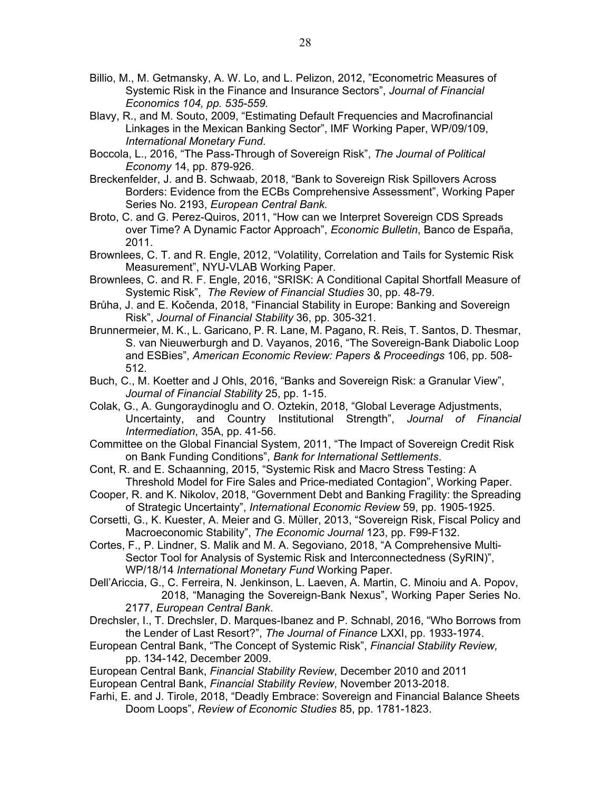- Billio, M., M. Getmansky, A. W. Lo, and L. Pelizon, 2012, "Econometric Measures of Systemic Risk in the Finance and Insurance Sectors", *Journal of Financial Economics 104, pp. 535-559.*
- Blavy, R., and M. Souto, 2009, "Estimating Default Frequencies and Macrofinancial Linkages in the Mexican Banking Sector", IMF Working Paper, WP/09/109, *International Monetary Fund*.
- Boccola, L., 2016, "The Pass-Through of Sovereign Risk", *The Journal of Political Economy* 14, pp. 879-926.
- Breckenfelder, J. and B. Schwaab, 2018, "Bank to Sovereign Risk Spillovers Across Borders: Evidence from the ECBs Comprehensive Assessment", Working Paper Series No. 2193, *European Central Bank.*
- Broto, C. and G. Perez-Quiros, 2011, "How can we Interpret Sovereign CDS Spreads over Time? A Dynamic Factor Approach", *Economic Bulletin*, Banco de España, 2011.
- Brownlees, C. T. and R. Engle, 2012, "Volatility, Correlation and Tails for Systemic Risk Measurement", NYU-VLAB Working Paper.
- Brownlees, C. and R. F. Engle, 2016, "SRISK: A Conditional Capital Shortfall Measure of Systemic Risk", *The Review of Financial Studies* 30, pp. 48-79.
- Brůha, J. and E. Kočenda, 2018, "Financial Stability in Europe: Banking and Sovereign Risk", *Journal of Financial Stability* 36, pp. 305-321.
- Brunnermeier, M. K., L. Garicano, P. R. Lane, M. Pagano, R. Reis, T. Santos, D. Thesmar, S. van Nieuwerburgh and D. Vayanos, 2016, "The Sovereign-Bank Diabolic Loop and ESBies", *American Economic Review: Papers & Proceedings* 106, pp. 508- 512.
- Buch, C., M. Koetter and J Ohls, 2016, "Banks and Sovereign Risk: a Granular View", *Journal of Financial Stability* 25, pp. 1-15.
- Colak, G., A. Gungoraydinoglu and O. Oztekin, 2018, "Global Leverage Adjustments, Uncertainty, and Country Institutional Strength", *Journal of Financial Intermediation*, 35A, pp. 41-56.
- Committee on the Global Financial System, 2011, "The Impact of Sovereign Credit Risk on Bank Funding Conditions", *Bank for International Settlements*.
- Cont, R. and E. Schaanning, 2015, "Systemic Risk and Macro Stress Testing: A Threshold Model for Fire Sales and Price-mediated Contagion", Working Paper.
- Cooper, R. and K. Nikolov, 2018, "Government Debt and Banking Fragility: the Spreading of Strategic Uncertainty", *International Economic Review* 59, pp. 1905-1925.
- Corsetti, G., K. Kuester, A. Meier and G. Mϋller, 2013, "Sovereign Risk, Fiscal Policy and Macroeconomic Stability", *The Economic Journal* 123, pp. F99-F132.
- Cortes, F., P. Lindner, S. Malik and M. A. Segoviano, 2018, "A Comprehensive Multi-Sector Tool for Analysis of Systemic Risk and Interconnectedness (SyRIN)", WP/18/14 *International Monetary Fund* Working Paper.
- Dell'Ariccia, G., C. Ferreira, N. Jenkinson, L. Laeven, A. Martin, C. Minoiu and A. Popov, 2018, "Managing the Sovereign-Bank Nexus", Working Paper Series No. 2177, *European Central Bank*.
- Drechsler, I., T. Drechsler, D. Marques-Ibanez and P. Schnabl, 2016, "Who Borrows from the Lender of Last Resort?", *The Journal of Finance* LXXI, pp. 1933-1974.
- European Central Bank, "The Concept of Systemic Risk", *Financial Stability Review,*  pp. 134-142, December 2009.
- European Central Bank, *Financial Stability Review*, December 2010 and 2011
- European Central Bank, *Financial Stability Review*, November 2013-2018.
- Farhi, E. and J. Tirole, 2018, "Deadly Embrace: Sovereign and Financial Balance Sheets Doom Loops", *Review of Economic Studies* 85, pp. 1781-1823.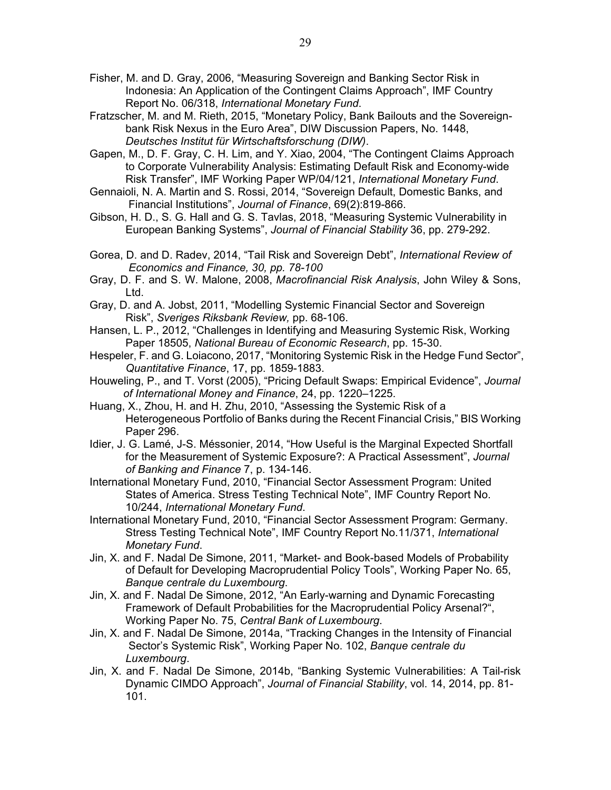- Fisher, M. and D. Gray, 2006, "Measuring Sovereign and Banking Sector Risk in Indonesia: An Application of the Contingent Claims Approach", IMF Country Report No. 06/318, *International Monetary Fund*.
- Fratzscher, M. and M. Rieth, 2015, "Monetary Policy, Bank Bailouts and the Sovereignbank Risk Nexus in the Euro Area", DIW Discussion Papers, No. 1448, *Deutsches Institut für Wirtschaftsforschung (DIW)*.
- Gapen, M., D. F. Gray, C. H. Lim, and Y. Xiao, 2004, "The Contingent Claims Approach to Corporate Vulnerability Analysis: Estimating Default Risk and Economy-wide Risk Transfer", IMF Working Paper WP/04/121, *International Monetary Fund*.
- Gennaioli, N. A. Martin and S. Rossi, 2014, "Sovereign Default, Domestic Banks, and Financial Institutions", *Journal of Finance*, 69(2):819-866.
- Gibson, H. D., S. G. Hall and G. S. Tavlas, 2018, "Measuring Systemic Vulnerability in European Banking Systems", *Journal of Financial Stability* 36, pp. 279-292.
- Gorea, D. and D. Radev, 2014, "Tail Risk and Sovereign Debt", *International Review of Economics and Finance, 30, pp. 78-100*
- Gray, D. F. and S. W. Malone, 2008, *Macrofinancial Risk Analysis*, John Wiley & Sons, Ltd.
- Gray, D. and A. Jobst, 2011, "Modelling Systemic Financial Sector and Sovereign Risk", *Sveriges Riksbank Review,* pp. 68-106.
- Hansen, L. P., 2012, "Challenges in Identifying and Measuring Systemic Risk, Working Paper 18505, *National Bureau of Economic Research*, pp. 15-30.
- Hespeler, F. and G. Loiacono, 2017, "Monitoring Systemic Risk in the Hedge Fund Sector", *Quantitative Finance*, 17, pp. 1859-1883.
- Houweling, P., and T. Vorst (2005), "Pricing Default Swaps: Empirical Evidence", *Journal of International Money and Finance*, 24, pp. 1220–1225.
- Huang, X., Zhou, H. and H. Zhu, 2010, "Assessing the Systemic Risk of a Heterogeneous Portfolio of Banks during the Recent Financial Crisis," BIS Working Paper 296.
- Idier, J. G. Lamé, J-S. Méssonier, 2014, "How Useful is the Marginal Expected Shortfall for the Measurement of Systemic Exposure?: A Practical Assessment", *Journal of Banking and Finance* 7, p. 134-146.
- International Monetary Fund, 2010, "Financial Sector Assessment Program: United States of America. Stress Testing Technical Note", IMF Country Report No. 10/244, *International Monetary Fund*.
- International Monetary Fund, 2010, "Financial Sector Assessment Program: Germany. Stress Testing Technical Note", IMF Country Report No.11/371, *International Monetary Fund*.
- Jin, X. and F. Nadal De Simone, 2011, "Market- and Book-based Models of Probability of Default for Developing Macroprudential Policy Tools", Working Paper No. 65, *Banque centrale du Luxembourg*.
- Jin, X. and F. Nadal De Simone, 2012, "An Early-warning and Dynamic Forecasting Framework of Default Probabilities for the Macroprudential Policy Arsenal?", Working Paper No. 75, *Central Bank of Luxembourg*.
- Jin, X. and F. Nadal De Simone, 2014a, "Tracking Changes in the Intensity of Financial Sector's Systemic Risk", Working Paper No. 102, *Banque centrale du Luxembourg*.
- Jin, X. and F. Nadal De Simone, 2014b, "Banking Systemic Vulnerabilities: A Tail-risk Dynamic CIMDO Approach", *Journal of Financial Stability*, vol. 14, 2014, pp. 81- 101.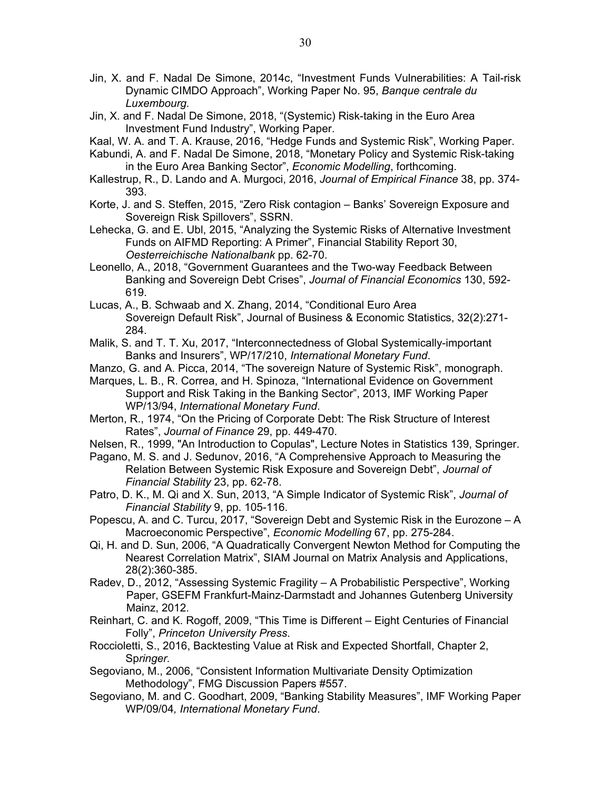- Jin, X. and F. Nadal De Simone, 2014c, "Investment Funds Vulnerabilities: A Tail-risk Dynamic CIMDO Approach", Working Paper No. 95, *Banque centrale du Luxembourg.*
- Jin, X. and F. Nadal De Simone, 2018, "(Systemic) Risk-taking in the Euro Area Investment Fund Industry", Working Paper.
- Kaal, W. A. and T. A. Krause, 2016, "Hedge Funds and Systemic Risk", Working Paper.
- Kabundi, A. and F. Nadal De Simone, 2018, "Monetary Policy and Systemic Risk-taking in the Euro Area Banking Sector", *Economic Modelling*, forthcoming.
- Kallestrup, R., D. Lando and A. Murgoci, 2016, *Journal of Empirical Finance* 38, pp. 374- 393.
- Korte, J. and S. Steffen, 2015, "Zero Risk contagion Banks' Sovereign Exposure and Sovereign Risk Spillovers", SSRN.
- Lehecka, G. and E. Ubl, 2015, "Analyzing the Systemic Risks of Alternative Investment Funds on AIFMD Reporting: A Primer", Financial Stability Report 30, *Oesterreichische Nationalbank* pp. 62-70.
- Leonello, A., 2018, "Government Guarantees and the Two-way Feedback Between Banking and Sovereign Debt Crises", *Journal of Financial Economics* 130, 592- 619.
- Lucas, A., B. Schwaab and X. Zhang, 2014, "Conditional Euro Area Sovereign Default Risk", Journal of Business & Economic Statistics, 32(2):271- 284.
- Malik, S. and T. T. Xu, 2017, "Interconnectedness of Global Systemically-important Banks and Insurers", WP/17/210, *International Monetary Fund*.
- Manzo, G. and A. Picca, 2014, "The sovereign Nature of Systemic Risk", monograph.
- Marques, L. B., R. Correa, and H. Spinoza, "International Evidence on Government Support and Risk Taking in the Banking Sector", 2013, IMF Working Paper WP/13/94, *International Monetary Fund*.
- Merton, R., 1974, "On the Pricing of Corporate Debt: The Risk Structure of Interest Rates", *Journal of Finance* 29, pp. 449-470.
- Nelsen, R., 1999, "An Introduction to Copulas", Lecture Notes in Statistics 139, Springer.
- Pagano, M. S. and J. Sedunov, 2016, "A Comprehensive Approach to Measuring the Relation Between Systemic Risk Exposure and Sovereign Debt", *Journal of Financial Stability* 23, pp. 62-78.
- Patro, D. K., M. Qi and X. Sun, 2013, "A Simple Indicator of Systemic Risk", *Journal of Financial Stability* 9, pp. 105-116.
- Popescu, A. and C. Turcu, 2017, "Sovereign Debt and Systemic Risk in the Eurozone A Macroeconomic Perspective", *Economic Modelling* 67, pp. 275-284.
- Qi, H. and D. Sun, 2006, "A Quadratically Convergent Newton Method for Computing the Nearest Correlation Matrix", SIAM Journal on Matrix Analysis and Applications, 28(2):360-385.
- Radev, D., 2012, "Assessing Systemic Fragility A Probabilistic Perspective", Working Paper, GSEFM Frankfurt-Mainz-Darmstadt and Johannes Gutenberg University Mainz, 2012.
- Reinhart, C. and K. Rogoff, 2009, "This Time is Different Eight Centuries of Financial Folly", *Princeton University Press*.
- Roccioletti, S., 2016, Backtesting Value at Risk and Expected Shortfall, Chapter 2, Sp*ringer.*
- Segoviano, M., 2006, "Consistent Information Multivariate Density Optimization Methodology", FMG Discussion Papers #557.
- Segoviano, M. and C. Goodhart, 2009, "Banking Stability Measures", IMF Working Paper WP/09/04*, International Monetary Fund*.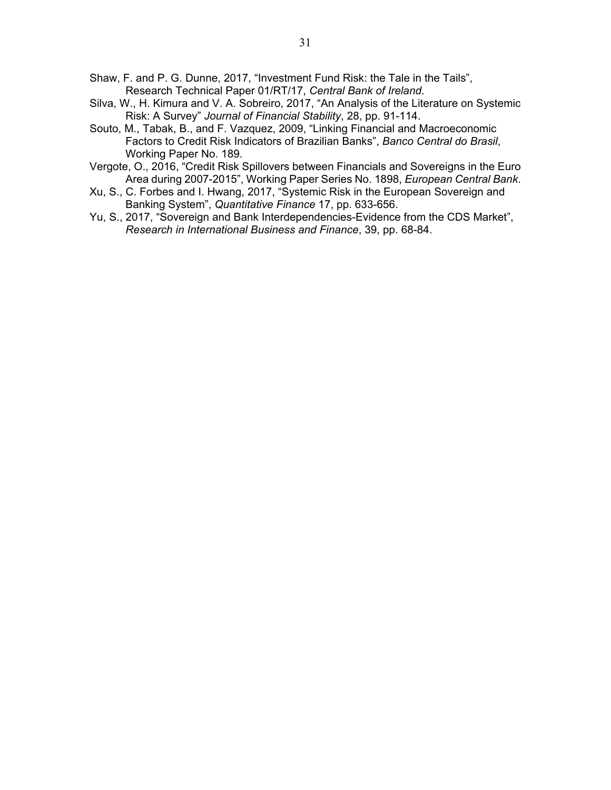- Shaw, F. and P. G. Dunne, 2017, "Investment Fund Risk: the Tale in the Tails", Research Technical Paper 01/RT/17, *Central Bank of Ireland*.
- Silva, W., H. Kimura and V. A. Sobreiro, 2017, "An Analysis of the Literature on Systemic Risk: A Survey" *Journal of Financial Stability*, 28, pp. 91-114.
- Souto, M., Tabak, B., and F. Vazquez, 2009, "Linking Financial and Macroeconomic Factors to Credit Risk Indicators of Brazilian Banks", *Banco Central do Brasil*, Working Paper No. 189.
- Vergote, O., 2016, "Credit Risk Spillovers between Financials and Sovereigns in the Euro Area during 2007-2015", Working Paper Series No. 1898, *European Central Bank*.
- Xu, S., C. Forbes and I. Hwang, 2017, "Systemic Risk in the European Sovereign and Banking System", *Quantitative Finance* 17, pp. 633-656.
- Yu, S., 2017, "Sovereign and Bank Interdependencies-Evidence from the CDS Market", *Research in International Business and Finance*, 39, pp. 68-84.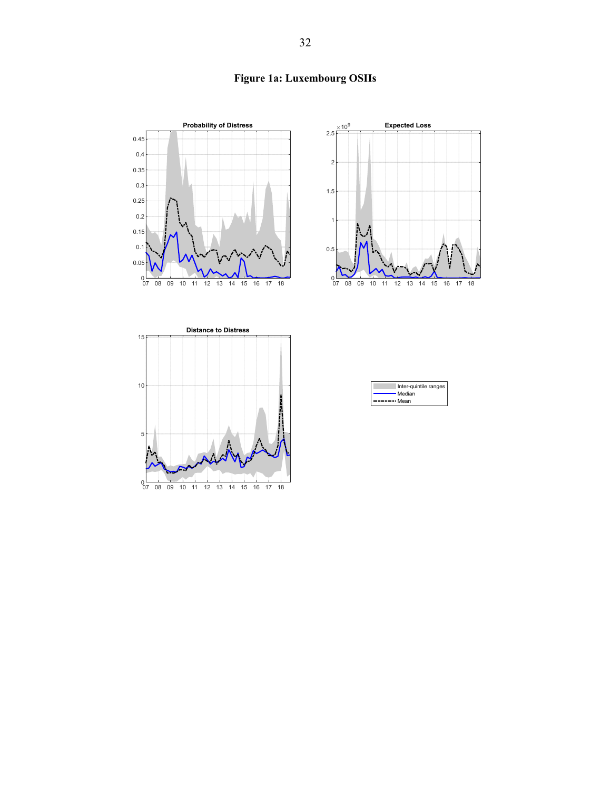

# **Figure 1a: Luxembourg OSIIs**





|            | Inter-quintile ranges |
|------------|-----------------------|
|            | Median                |
| $---$ Mean |                       |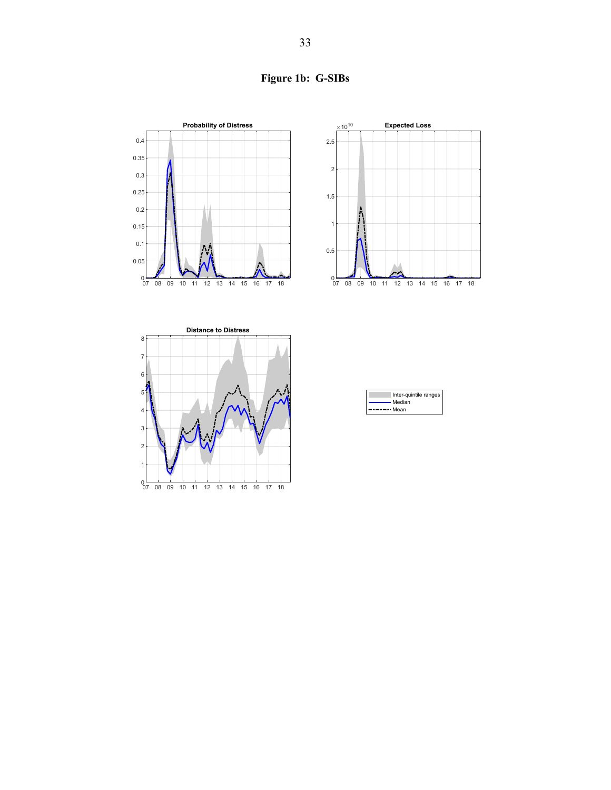**Probability of Distress** 0 0 0 10 11 12 13 14 15 16 17 18 0.05 0.1 0.15 0.2 0.25 0.3 0.35 0.4 0.5 1 1.5 2 2.5







|            | Inter-quintile ranges |
|------------|-----------------------|
|            | — Median              |
| $---$ Mean |                       |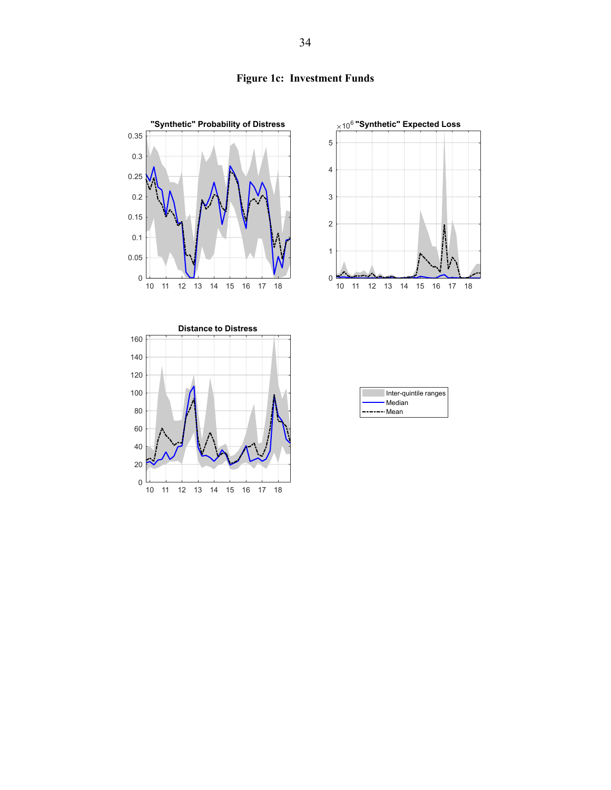

# **Figure 1c: Investment Funds**



| Inter-quintile ranges |
|-----------------------|
|                       |
|                       |
|                       |
|                       |
|                       |
|                       |
|                       |
|                       |
|                       |
|                       |

| Inter-quintile range |
|----------------------|
| • Median             |
| $---$ Mean           |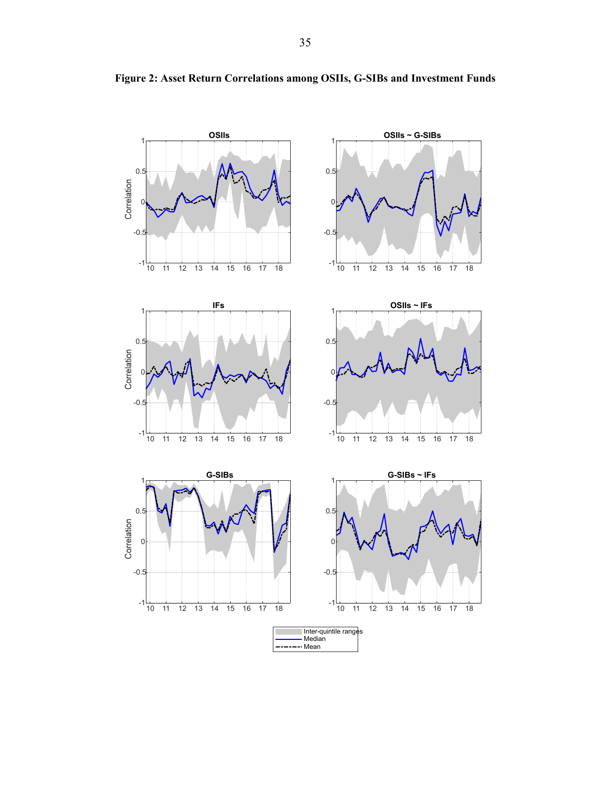

**Figure 2: Asset Return Correlations among OSIIs, G-SIBs and Investment Funds**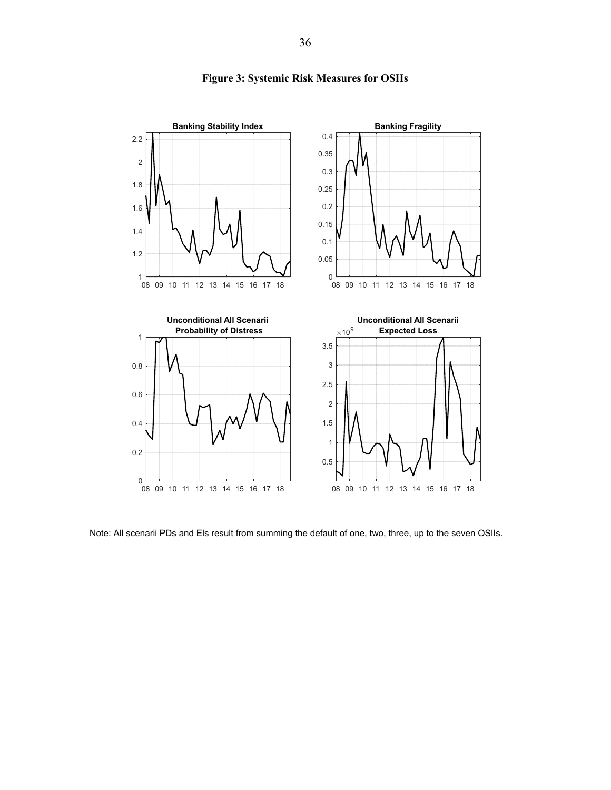

### **Figure 3: Systemic Risk Measures for OSIIs**

Note: All scenarii PDs and Els result from summing the default of one, two, three, up to the seven OSIIs.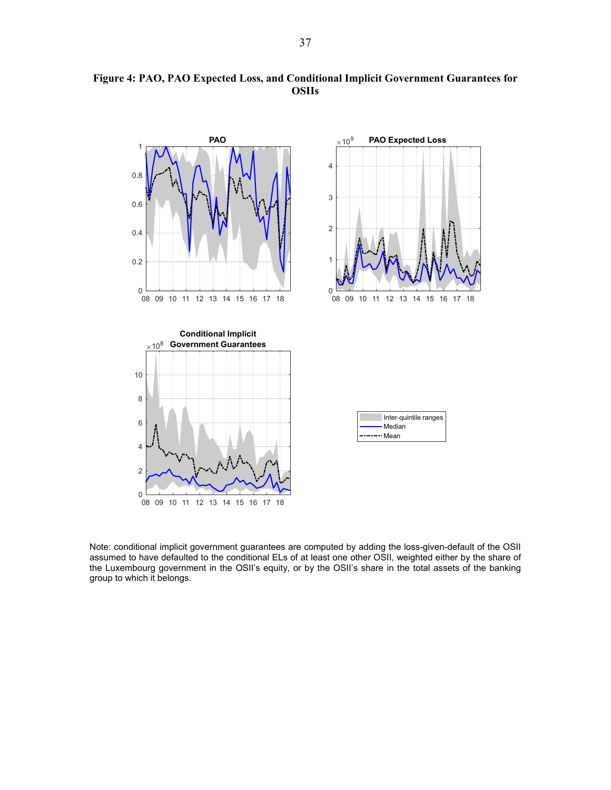

### **Figure 4: PAO, PAO Expected Loss, and Conditional Implicit Government Guarantees for OSIIs**

Note: conditional implicit government guarantees are computed by adding the loss-given-default of the OSII assumed to have defaulted to the conditional ELs of at least one other OSII, weighted either by the share of the Luxembourg government in the OSII's equity, or by the OSII's share in the total assets of the banking group to which it belongs.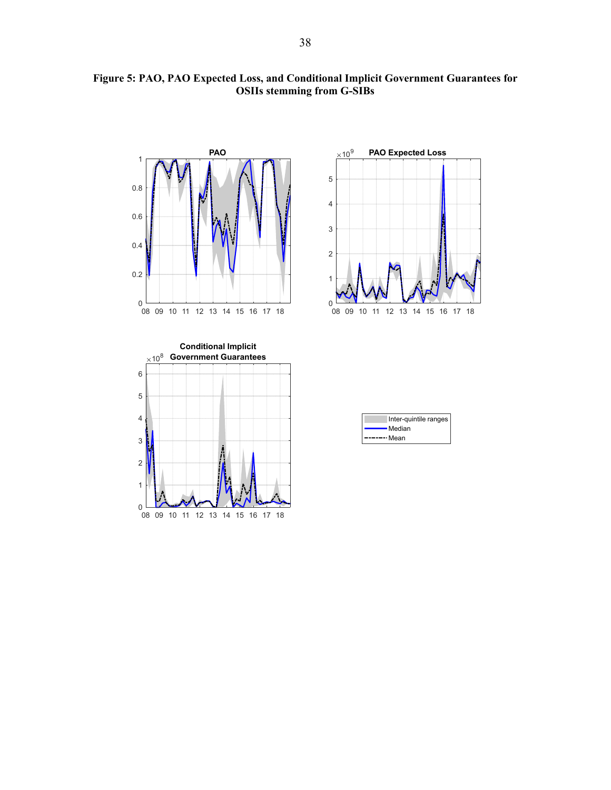

**Figure 5: PAO, PAO Expected Loss, and Conditional Implicit Government Guarantees for OSIIs stemming from G-SIBs**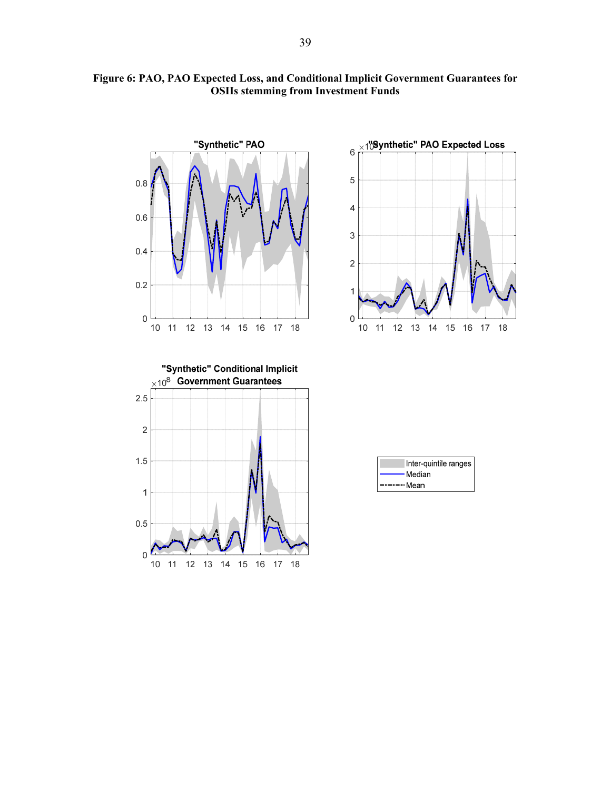

18

### **Figure 6: PAO, PAO Expected Loss, and Conditional Implicit Government Guarantees for OSIIs stemming from Investment Funds**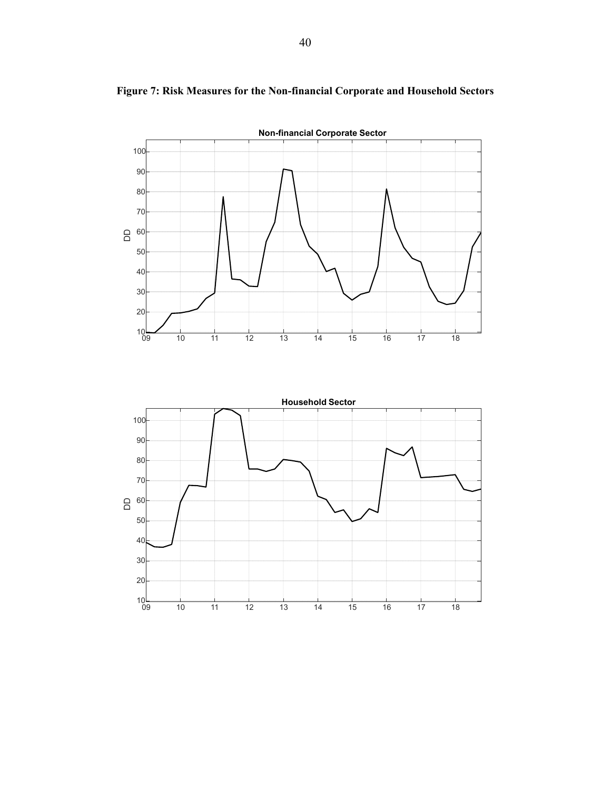

# **Figure 7: Risk Measures for the Non-financial Corporate and Household Sectors**

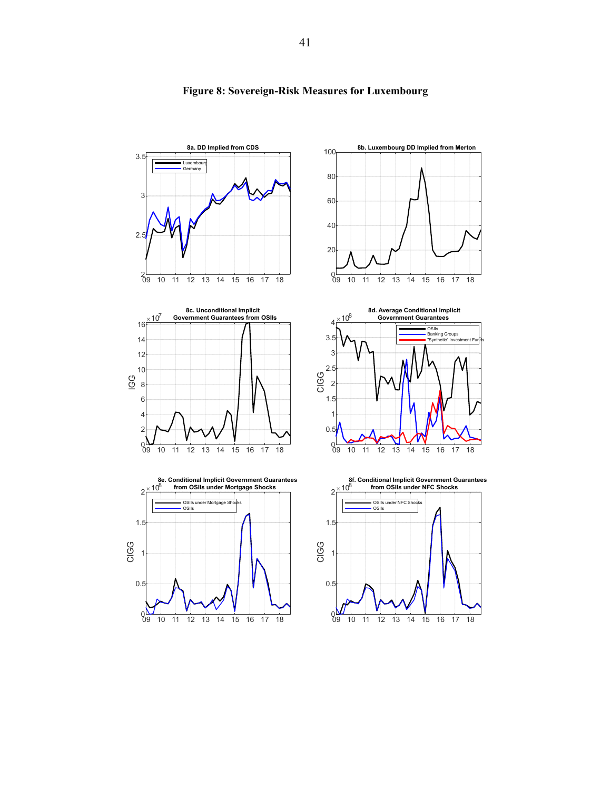

## **Figure 8: Sovereign-Risk Measures for Luxembourg**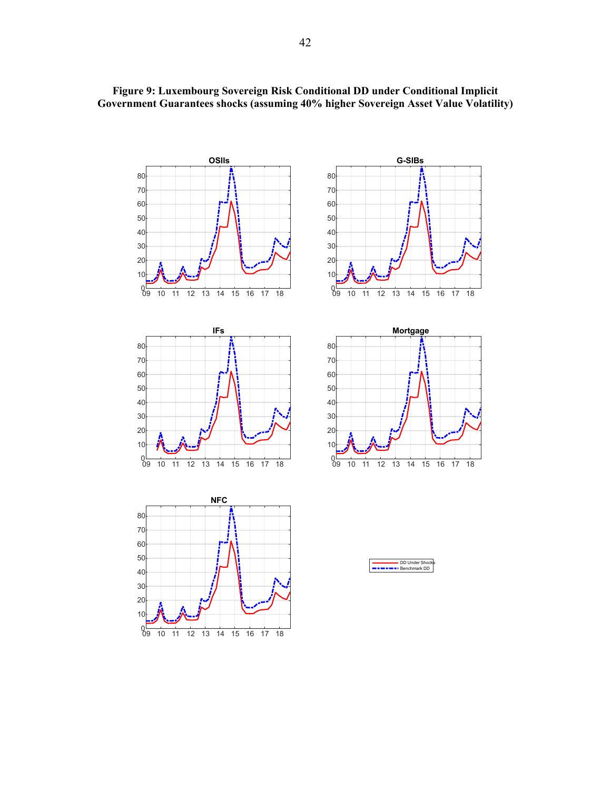

**Figure 9: Luxembourg Sovereign Risk Conditional DD under Conditional Implicit Government Guarantees shocks (assuming 40% higher Sovereign Asset Value Volatility)**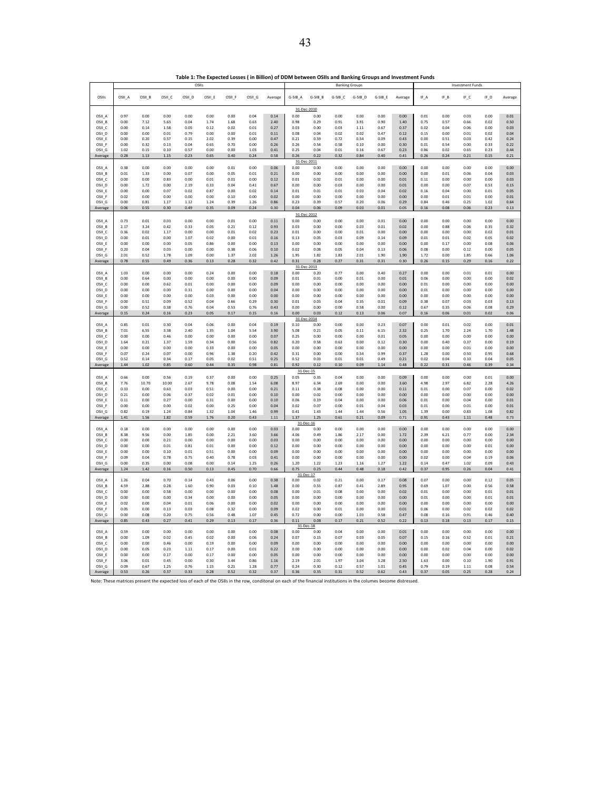|                             |              |              |              |              | OSIIs        |              |              |              | <b>Banking Groups</b> |              |              | <b>Investment Funds</b> |              |              |              |              |              |              |              |
|-----------------------------|--------------|--------------|--------------|--------------|--------------|--------------|--------------|--------------|-----------------------|--------------|--------------|-------------------------|--------------|--------------|--------------|--------------|--------------|--------------|--------------|
|                             |              |              |              |              |              |              |              |              |                       |              |              |                         |              |              |              |              |              |              |              |
| OSIIs                       | OSII_A       | OSII_B       | OSII_C       | OSII_D       | OSII_E       | OSIL_F       | OSII_G       | Average      | G-SIB_A               | $G-SIB$ $B$  | G-SIB_C      | G-SIB_D                 | $G-SIB$ $E$  | Average      | IF_A         | $IF$ $B$     | $IF_C$       | $IF\_D$      | Average      |
|                             |              |              |              |              |              |              |              |              |                       |              |              |                         |              |              |              |              |              |              |              |
|                             |              |              |              |              |              |              |              |              | 31-Dec-2010           |              |              |                         |              |              |              |              |              |              |              |
| OSII_A                      | 0.97         | 0.00         | 0.00         | 0.00         | 0.00         | 0.00         | 0.04         | 0.14         | 0.00                  | 0.00         | 0.00         | 0.00                    | 0.00         | 0.00         | 0.01         | 0.00         | 0.03         | 0.00         | 0.01         |
| OSII_B                      | 0.00         | 7.12         | 5.63         | 0.04         | 1.74         | 1.68         | 0.63         | 2.40         | 0.98                  | 0.29         | 0.91         | 3.91                    | 0.90         | 1.40         | 0.75         | 0.57         | 0.66         | 0.02         | 0.50         |
| OSII <sub>C</sub>           | 0.00         | 0.14         | 1.58         | 0.05         | 0.12         | 0.02         | 0.01         | 0.27         | 0.03                  | 0.00         | 0.03         | 1.11                    | 0.67         | 0.37         | 0.02         | 0.04         | 0.06         | 0.00         | 0.03         |
| OSII_D                      | 0.00         | 0.00         | 0.01         | 0.79         | 0.00         | 0.00         | 0.01         | 0.11         | 0.08                  | 0.04         | 0.02         | 0.02                    | 0.47         | 0.12         | 0.15         | 0.00         | 0.01         | 0.02         | 0.04         |
| OSII E                      | 0.00         | 0.20         | 0.57         | 0.15         | 2.02         | 0.39         | 0.00         | 0.47         | 0.21                  | 0.59         | 0.72         | 0.54                    | 0.09         | 0.43         | 0.00         | 0.51         | 0.03         | 0.42         | 0.24         |
| OSIL_F                      | 0.00<br>1.02 | 0.32<br>0.15 | 0.13<br>0.10 | 0.04<br>0.57 | 0.65<br>0.00 | 0.70         | 0.00<br>1.03 | 0.26<br>0.41 | 0.26<br>0.25          | 0.54<br>0.04 | 0.58<br>0.01 | 0.10<br>0.16            | 0.00         | 0.30         | 0.01<br>0.86 | 0.54<br>0.02 | 0.00<br>0.65 | 0.33<br>0.23 | 0.22         |
| OSII_G                      | 0.28         | 1.13         | 1.15         | 0.23         | 0.65         | 0.00<br>0.40 | 0.24         | 0.58         | 0.26                  | 0.22         | 0.32         | 0.84                    | 0.67<br>0.40 | 0.23<br>0.41 | 0.26         | 0.24         | 0.21         | 0.15         | 0.44<br>0.21 |
| Average                     |              |              |              |              |              |              |              |              |                       |              |              |                         |              |              |              |              |              |              |              |
|                             |              |              |              |              |              |              |              |              |                       | 31-Dec-2011  |              |                         |              |              |              |              |              |              |              |
| OSII A<br>OSII B            | 0.38<br>0.01 | 0.00<br>1.33 | 0.00<br>0.00 | 0.00<br>0.07 | 0.00<br>0.00 | 0.01<br>0.05 | 0.00<br>0.01 | 0.06<br>0.21 | 0.00<br>0.00          | 0.00<br>0.00 | 0.00<br>0.00 | 0.00<br>0.00            | 0.00<br>0.00 | 0.00<br>0.00 | 0.00<br>0.00 | 0.00<br>0.01 | 0.00<br>0.06 | 0.00<br>0.04 | 0.00<br>0.03 |
| OSII C                      | 0.00         | 0.00         | 0.83         | 0.00         | 0.01         | 0.01         | 0.00         | 0.12         | 0.01                  | 0.02         | 0.01         | 0.00                    | 0.00         | 0.01         | 0.11         | 0.00         | 0.00         | 0.00         | 0.03         |
| OSII D                      | 0.00         | 1.72         | 0.00         | 2.19         | 0.33         | 0.04         | 0.41         | 0.67         | 0.00                  | 0.00         | 0.03         | 0.00                    | 0.00         | 0.01         | 0.00         | 0.00         | 0.07         | 0.53         | 0.15         |
| OSII_E                      | 0.00         | 0.00         | 0.07         | 0.02         | 0.87         | 0.00         | 0.02         | 0.14         | 0.01                  | 0.01         | 0.01         | 0.03                    | 0.04         | 0.02         | 0.16         | 0.04         | 0.00         | 0.01         | 0.05         |
| OSIL_F                      | 0.02         | 0.00         | 0.00         | 0.00         | 0.00         | 0.10         | 0.00         | 0.02         | 0.00                  | 0.00         | 0.00         | 0.00                    | 0.00         | 0.00         | 0.00         | 0.01         | 0.01         | 0.00         | 0.01         |
| OSII <sub>G</sub>           | 0.00         | 0.81         | 1.17         | 1.12         | 1.24         | 0.39         | 1.26         | 0.86         | 0.23                  | 0.39         | 0.57         | 0.20                    | 0.06         | 0.29         | 0.84         | 0.46         | 0.25         | 1.02         | 0.64         |
| Average                     | 0.06         | 0.55         | 0.30         | 0.49         | 0.35         | 0.09         | 0.24         | 0.30         | 0.04                  | 0.06         | 0.09         | 0.03                    | 0.01         | 0.05         | 0.16         | 0.08         | 0.06         | 0.23         | 0.13         |
|                             |              |              |              |              |              |              |              |              | 31-Dec-2012           |              |              |                         |              |              |              |              |              |              |              |
| OSII_A                      | 0.73         | 0.01         | 0.03         | 0.00         | 0.00         | 0.01         | 0.00         | 0.11         | 0.00                  | 0.00         | 0.00         | 0.00                    | 0.01         | 0.00         | 0.00         | 0.00         | 0.00         | 0.00         | 0.00         |
| OSII B                      | 2.17         | 3.24         | 0.42         | 0.33         | 0.05         | 0.21         | 0.12         | 0.93         | 0.03                  | 0.00         | 0.00         | 0.03                    | 0.01         | 0.02         | 0.00         | 0.88         | 0.06         | 0.35         | 0.32         |
| OSII_C                      | 0.36         | 0.02         | 1.17         | 0.00         | 0.00         | 0.01         | 0.02         | 0.23         | 0.01                  | 0.00         | 0.00         | 0.01                    | 0.00         | 0.00         | 0.00         | 0.00         | 0.00         | 0.02         | 0.01         |
| OSII D                      | 0.00         | 0.01         | 0.00         | 1.07         | 0.02         | 0.00         | 0.01         | 0.16         | 0.13                  | 0.05         | 0.03         | 0.09                    | 0.14         | 0.09         | 0.01         | 0.01         | 0.02         | 0.05         | 0.02         |
| OSII E                      | 0.00         | 0.00         | 0.00         | 0.05         | 0.86         | 0.00         | 0.00         | 0.13         | 0.00                  | 0.00         | 0.00         | 0.00                    | 0.00         | 0.00         | 0.00         | 0.17         | 0.00         | 0.08         | 0.06         |
| OSII F                      | 0.20         | 0.04         | 0.03         | 0.00         | 0.00         | 0.38         | 0.06         | 0.10         | 0.02                  | 0.08         | 0.05         | 0.04                    | 0.13         | 0.06         | 0.08         | 0.00         | 0.12         | 0.00         | 0.05         |
| OSII <sub>G</sub>           | 2.01         | 0.52         | 1.78         | 1.09         | 0.00         | 1.37         | 2.02         | 1.26         | 1.95                  | 1.82         | 1.83         | 2.01                    | 1.90         | 1.90         | 1.72         | 0.00         | 1.85         | 0.66         | 1.06         |
| Average                     | 0.78         | 0.55         | 0.49         | 0.36         | 0.13         | 0.28         | 0.32         | 0.42         | 0.31                  | 0.28         | 0.27         | 0.31                    | 0.31         | 0.30         | 0.26         | 0.15         | 0.29         | 0.16         | 0.22         |
|                             |              |              |              |              |              |              |              |              |                       | 31-Dec-2013  |              |                         |              |              |              |              |              |              |              |
| OSII A                      | 1.03         | 0.00         | 0.00         | 0.00         | 0.24         | 0.00         | 0.00         | 0.18         | 0.00                  | 0.20         | 0.77         | 0.00                    | 0.40         | 0.27         | 0.00         | 0.00         | 0.01         | 0.01         | 0.00         |
| OSII B                      | 0.00         | 0.64         | 0.00         | 0.00         | 0.00         | 0.00         | 0.00         | 0.09         | 0.01                  | 0.01         | 0.00         | 0.01                    | 0.00         | 0.01         | 0.06         | 0.00         | 0.00         | 0.00         | 0.02         |
| OSII <sub>C</sub>           | 0.00         | 0.00         | 0.62         | 0.01         | 0.00         | 0.00         | 0.00         | 0.09         | 0.00                  | 0.00         | 0.00         | 0.00                    | 0.00         | 0.00         | 0.01         | 0.00         | 0.00         | 0.00         | 0.00         |
| OSII D                      | 0.00         | 0.00         | 0.00         | 0.31         | 0.00         | 0.00         | 0.00         | 0.04         | 0.00                  | 0.00         | 0.00         | 0.00                    | 0.00         | 0.00         | 0.01         | 0.00         | 0.00         | 0.00         | 0.00         |
| OSII E                      | 0.00         | 0.00         | 0.00         | 0.00         | 0.03         | 0.00         | 0.00         | 0.00         | 0.00                  | 0.00         | 0.00         | 0.00                    | 0.00         | 0.00         | 0.00         | 0.00         | 0.00         | 0.00         | 0.00         |
| OSII_F                      | 0.00         | 0.51         | 0.09         | 0.52         | 0.04         | 0.66         | 0.29         | 0.30         | 0.01                  | 0.03         | 0.04         | 0.35                    | 0.01         | 0.09         | 0.38         | 0.07         | 0.03         | 0.03         | 0.13         |
| OSII_G                      | 0.00         | 0.52         | 0.38         | 0.76         | 0.04         | 0.53         | 0.76         | 0.43         | 0.00                  | 0.00         | 0.00         | 0.58                    | 0.00         | 0.12         | 0.67         | 0.35         | 0.06         | 0.08         | 0.29         |
| Average                     | 0.15         | 0.24         | 0.16         | 0.23         | 0.05         | 0.17         | 0.15         | 0.16         | 0.00                  | 0.03         | 0.12         | 0.13                    | 0.06         | 0.07         | 0.16         | 0.06         | 0.01         | 0.02         | 0.06         |
|                             |              |              |              |              |              |              |              |              |                       | 31-Dec-2014  |              |                         |              |              |              |              |              |              |              |
| OSII A                      | 0.85         | 0.01         | 0.30         | 0.04         | 0.06         | 0.00         | 0.04         | 0.19         | 0.10                  | 0.00         | 0.00         | 0.00                    | 0.23         | 0.07         | 0.00         | 0.01         | 0.02         | 0.00         | 0.01         |
| OSII B                      | 7.01<br>0.00 | 6.55         | 3.38<br>0.46 | 2.40         | 1.35<br>0.00 | 1.04         | 5.54<br>0.00 | 3.90<br>0.07 | 5.08<br>0.25          | 0.21         | 0.05         | 0.11<br>0.00            | 6.15         | 2.32         | 0.25<br>0.00 | 1.70<br>0.00 | 2.24         | 1.70         | 1.48         |
| OSII_C<br>OSII <sub>D</sub> | 1.64         | 0.00<br>0.21 | 1.37         | 0.00<br>1.59 | 0.34         | 0.00<br>0.00 | 0.56         | 0.82         | 0.20                  | 0.00<br>0.58 | 0.00<br>0.63 | 0.00                    | 0.01<br>0.12 | 0.05<br>0.30 | 0.00         | 0.40         | 0.00<br>0.37 | 0.00<br>0.00 | 0.00<br>0.19 |
| OSII_E                      | 0.00         | 0.00         | 0.00         | 0.00         | 0.33         | 0.00         | 0.00         | 0.05         | 0.00                  | 0.00         | 0.00         | 0.00                    | 0.00         | 0.00         | 0.00         | 0.00         | 0.01         | 0.00         | 0.00         |
| OSIL_F                      | 0.07         | 0.24         | 0.07         | 0.00         | 0.96         | 1.38         | 0.20         | 0.42         | 0.31                  | 0.00         | 0.00         | 0.54                    | 0.99         | 0.37         | 1.28         | 0.00         | 0.50         | 0.95         | 0.68         |
| OSII <sub>G</sub>           | 0.52         | 0.14         | 0.34         | 0.17         | 0.05         | 0.02         | 0.51         | 0.25         | 0.52                  | 0.03         | 0.01         | 0.01                    | 0.49         | 0.21         | 0.02         | 0.04         | 0.10         | 0.04         | 0.05         |
| Average                     | 1.44         | 1.02         | 0.85         | 0.60         | 0.44         | 0.35         | 0.98         | 0.81         | 0.92                  | 0.12         | 0.10         | 0.09                    | 1.14         | 0.48         | 0.22         | 0.31         | 0.46         | 0.39         | 0.34         |
|                             |              |              |              |              |              |              |              |              | $31 - De$             | $-15$        |              |                         |              |              |              |              |              |              |              |
| OSII_A                      | 0.66         | 0.00         | 0.56         | 0.19         | 0.37         | 0.00         | 0.00         | 0.25         | 0.05                  | 0.35         | 0.04         | 0.00                    | 0.00         | 0.09         | 0.00         | 0.00         | 0.00         | 0.01         | 0.00         |
| OSII_B                      | 7.76         | 10.70        | 10.00        | 2.67         | 9.78         | 0.08         | 1.54         | 6.08         | 8.97                  | 6.34         | 2.69         | 0.00                    | 0.00         | 3.60         | 4.98         | 2.97         | 6.82         | 2.28         | 4.26         |
| OSII_C                      | 0.33         | 0.00         | 0.63         | 0.03         | 0.51         | 0.00         | 0.00         | 0.21         | 0.11                  | 0.38         | 0.08         | 0.00                    | 0.00         | 0.11         | 0.01         | 0.00         | 0.07         | 0.00         | 0.02         |
| OSII_D                      | 0.21         | 0.00         | 0.06         | 0.37         | 0.02         | 0.01         | 0.00         | 0.10         | 0.00                  | 0.02         | 0.00         | 0.00                    | 0.00         | 0.00         | 0.00         | 0.00         | 0.00         | 0.00         | 0.00         |
| OSII E                      | 0.11         | 0.00         | 0.27         | 0.00         | 0.31         | 0.00         | 0.00         | 0.10         | 0.06                  | 0.19         | 0.04         | 0.00                    | 0.00         | 0.06         | 0.01         | 0.00         | 0.04         | 0.00         | 0.01         |
| OSII F                      | 0.00         | 0.00         | 0.00         | 0.02         | 0.00         | 0.25         | 0.00         | 0.04         | 0.02                  | 0.07         | 0.00         | 0.01                    | 0.04         | 0.03         | 0.01         | 0.00         | 0.01         | 0.00         | 0.01         |
| OSIL G                      | 0.82         | 0.19         | 1.24         | 0.84         | 1.32         | 1.04         | 1.46         | 0.99         | 0.41                  | 1.43         | 1.44         | 1.44                    | 0.56         | 1.05         | 1.39         | 0.00         | 0.83         | 1.08         | 0.82         |
| Average                     | 1.41         | 1.56         | 1.82         | 0.59         | 1.76         | 0.20         | 0.43         | 1.11         | 1.37                  | 1.25         | 0.61         | 0.21                    | 0.09         | 0.71         | 0.91         | 0.43         | 1.11         | 0.48         | 0.73         |
|                             |              |              |              |              |              |              |              |              | 31-De                 | -16          |              |                         |              |              |              |              |              |              |              |
| OSII A                      | 0.18         | 0.00         | 0.00         | 0.00         | 0.00         | 0.00         | 0.00         | 0.03         | 0.00                  | 0.00         | 0.00         | 0.00                    | 0.00         | 0.00         | 0.00         | 0.00         | 0.00         | 0.00         | 0.00         |
| OSII B                      | 8.38         | 9.56         | 0.00         | 1.85         | 0.00         | 2.21         | 3.60         | 3.66         | 4.06                  | 0.49         | 1.86         | 2.17                    | 0.00         | 1.72         | 2.39         | 6.21         | 0.77         | 0.00         | 2.34         |
| OSII C                      | 0.00         | 0.00         | 0.21         | 0.00         | 0.00         | 0.00         | 0.00         | 0.03         | 0.00                  | 0.00         | 0.00         | 0.00                    | 0.00         | 0.00         | 0.00         | 0.00         | 0.00         | 0.00         | 0.00         |
| OSII D                      | 0.00<br>0.00 | 0.00         | 0.01         | 0.81         | 0.01         | 0.00         | 0.00         | 0.12<br>0.09 | 0.00                  | 0.00         | 0.00         | 0.00                    | 0.00         | 0.00         | 0.00         | 0.00         | 0.00         | 0.01         | 0.00         |
| OSII_E<br>OSIL_F            | 0.09         | 0.00<br>0.04 | 0.10<br>0.78 | 0.01<br>0.75 | 0.51<br>0.40 | 0.00<br>0.78 | 0.00<br>0.03 | 0.41         | 0.00<br>0.00          | 0.00<br>0.00 | 0.00<br>0.00 | 0.00<br>0.00            | 0.00<br>0.00 | 0.00<br>0.00 | 0.00<br>0.02 | 0.00<br>0.00 | 0.00<br>0.04 | 0.00<br>0.19 | 0.00<br>0.06 |
| OSIL G                      | 0.00         | 0.35         | 0.00         | 0.08         | 0.00         | 0.14         | 1.25         | 0.26         | 1.20                  | 1.22         | 1.23         | 1.16                    | 1.27         | 1.22         | 0.14         | 0.47         | 1.02         | 0.09         | 0.43         |
| Average                     | 1.24         | 1.42         | 0.16         | 0.50         | 0.13         | 0.45         | 0.70         | 0.66         | 0.75                  | 0.25         | 0.44         | 0.48                    | 0.18         | 0.42         | 0.37         | 0.95         | 0.26         | 0.04         | 0.41         |
|                             |              |              |              |              |              |              |              |              |                       | 31-Dec-17    |              |                         |              |              |              |              |              |              |              |
| OSII A                      | 1.26         | 0.04         | 0.70         | 0.14         | 0.43         | 0.06         | 0.00         | 0.38         | 0.00                  | 0.02         | 0.21         | 0.00                    | 0.17         | 0.08         | 0.07         | 0.00         | 0.00         | 0.12         | 0.05         |
| OSII B                      | 4.59         | 2.88         | 0.28         | 1.60         | 0.90         | 0.03         | 0.10         | 1.48         | 0.00                  | 0.55         | 0.87         | 0.41                    | 2.89         | 0.95         | 0.69         | 1.07         | 0.00         | 0.56         | 0.58         |
| OSII <sub>C</sub>           | 0.00         | 0.00         | 0.58         | 0.00         | 0.00         | 0.00         | 0.00         | 0.08         | 0.00                  | 0.01         | 0.08         | 0.00                    | 0.00         | 0.02         | 0.01         | 0.00         | 0.00         | 0.01         | 0.01         |
| OSII <sub>D</sub>           | 0.00         | 0.00         | 0.00         | 0.34         | 0.00         | 0.00         | 0.00         | 0.05         | 0.00                  | 0.00         | 0.00         | 0.00                    | 0.00         | 0.00         | 0.01         | 0.00         | 0.00         | 0.01         | 0.01         |
| OSII E                      | 0.02         | 0.00         | 0.04         | 0.01         | 0.06         | 0.00         | 0.00         | 0.02         | 0.00                  | 0.00         | 0.00         | 0.00                    | 0.00         | 0.00         | 0.00         | 0.00         | 0.00         | 0.00         | 0.00         |
| OSII F                      | 0.05         | 0.00         | 0.13         | 0.03         | 0.08         | 0.32         | 0.00         | 0.09         | 0.02                  | 0.00         | 0.01         | 0.00                    | 0.00         | 0.01         | 0.06         | 0.00         | 0.02         | 0.02         | 0.02         |
| OSII <sub>G</sub>           | 0.00         | 0.08         | 0.20         | 0.75         | 0.56         | 0.48         | 1.07         | 0.45         | 0.72                  | 0.00         | 0.00         | 1.03                    | 0.58         | 0.47         | 0.08         | 0.16         | 0.91         | 0.46         | 0.40         |
| Average                     | 0.85         | 0.43         | 0.27         | 0.41         | 0.29         | 0.13         | 0.17         | 0.36         | 0.11                  | 0.08         | 0.17         | 0.21                    | 0.52         | 0.22         | 0.13         | 0.18         | 0.13         | 0.17         | 0.15         |
|                             |              |              |              |              |              |              |              |              | 31-Dec                | $-18$        |              |                         |              |              |              |              |              |              |              |
| OSII A                      | 0.59         | 0.00         | 0.00         | 0.00         | 0.00         | 0.00         | 0.00         | 0.08         | 0.00                  | 0.00         | 0.04         | 0.00                    | 0.00         | 0.01         | 0.00         | 0.00         | 0.00         | 0.00         | 0.00         |
| OSII_B                      | 0.00         | 1.09         | 0.02         | 0.45         | 0.02         | 0.00         | 0.06         | 0.24         | 0.07                  | 0.15         | 0.07         | 0.03                    | 0.05         | 0.07         | 0.15         | 0.16         | 0.52         | 0.01         | 0.21         |
| OSII_C                      | 0.00         | 0.00         | 0.46         | 0.00         | 0.19         | 0.00         | 0.00         | 0.09         | 0.00                  | 0.00         | 0.00         | 0.00                    | 0.00         | 0.00         | 0.00         | 0.00         | 0.00         | 0.00         | 0.00         |
| OSII D                      | 0.00         | 0.05         | 0.23         | 1.11         | 0.17         | 0.00         | 0.01         | 0.22         | 0.00                  | 0.00         | 0.00         | 0.00                    | 0.00         | 0.00         | 0.00         | 0.02         | 0.04         | 0.00         | 0.02         |
| OSII E                      | 0.00         | 0.00         | 0.17         | 0.00         | 0.17         | 0.00<br>3.44 | 0.00         | 0.05         | 0.00                  | 0.00         | 0.00         | 0.00                    | 0.00<br>3.28 | 0.00<br>2.50 | 0.00         | 0.00         | 0.00         | 0.00         | 0.00         |
| OSII F<br>OSII <sub>G</sub> | 3.06<br>0.09 | 0.01<br>0.67 | 0.45<br>1.25 | 0.00<br>0.76 | 0.30<br>1.15 | 0.21         | 0.86<br>1.28 | 1.16<br>0.77 | 2.19<br>0.24          | 2.01<br>0.30 | 1.97<br>0.12 | 3.04<br>0.57            | 1.01         | 0.45         | 1.63<br>0.79 | 0.00<br>0.19 | 0.10<br>1.11 | 1.90<br>0.08 | 0.91<br>0.54 |
| Average                     | 0.53         | 0.26         | 0.37         | 0.33         | 0.28         | 0.52         | 0.32         | 0.37         | 0.36                  | 0.35         | 0.31         | 0.52                    | 0.62         | 0.43         | 0.37         | 0.05         | 0.25         | 0.28         | 0.24         |
|                             |              |              |              |              |              |              |              |              |                       |              |              |                         |              |              |              |              |              |              |              |

**Table 1: The Expected Losses ( in Billion) of DDM between OSIIs and Banking Groups and Investment Funds**

Note: These matrices present the expected loss of each of the OSIIs in the row, conditonal on each of the financial institutions in the columes become distressed.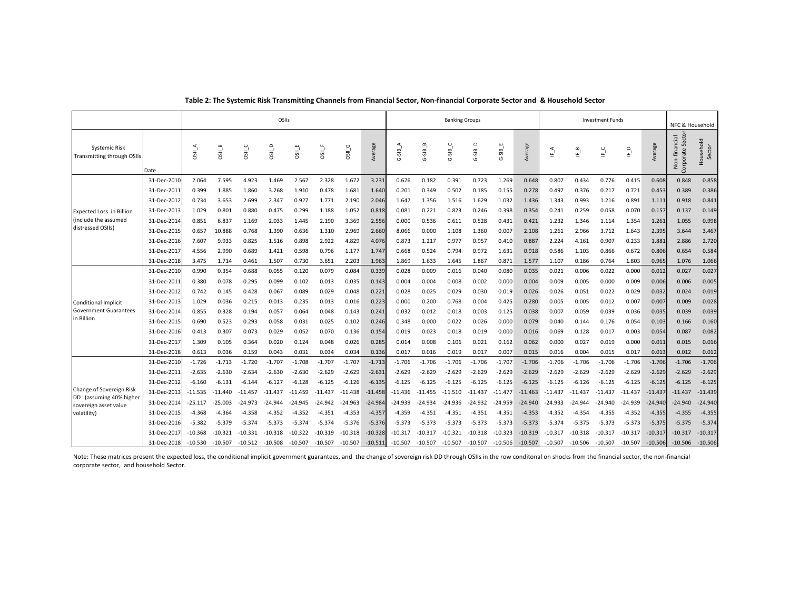|                                                     |             | OSIIs      |                   |           |                       |           |           |                     | <b>Banking Groups</b> |                         |                       |              |           |           | <b>Investment Funds</b> |           |                            |           |                                      | NFC & Household |                                            |                     |
|-----------------------------------------------------|-------------|------------|-------------------|-----------|-----------------------|-----------|-----------|---------------------|-----------------------|-------------------------|-----------------------|--------------|-----------|-----------|-------------------------|-----------|----------------------------|-----------|--------------------------------------|-----------------|--------------------------------------------|---------------------|
| <b>Systemic Risk</b><br>Transmitting through OSII:  | Date        | <b>USO</b> | OSIL <sub>B</sub> | OSII_C    | $\circ$<br><b>SII</b> | OSIL_E    | $OSII_F$  | OSII <sub>C</sub> G | Average               | $\overline{\text{SIB}}$ | $G-SIB$ <sub>-B</sub> | C<br>$G-SIB$ | $G-SIB_D$ | $G-SIB$ E | Average                 | ∫⊫<br>⊾   | $\mathbb{E}^{-\mathsf{B}}$ | ပ<br>느    | $\mathbf{r} \in \mathbb{R}^{d}$<br>些 | Average         | Sector<br>Non-financial<br>Corporate Secto | Household<br>Sector |
|                                                     | 31-Dec-2010 | 2.064      | 7.595             | 4.923     | 1.469                 | 2.567     | 2.328     | 1.672               | 3.231                 | 0.676                   | 0.182                 | 0.391        | 0.723     | 1.269     | 0.648                   | 0.807     | 0.434                      | 0.776     | 0.415                                | 0.608           | 0.848                                      | 0.858               |
|                                                     | 31-Dec-2011 | 0.399      | 1.885             | 1.860     | 3.268                 | 1.910     | 0.478     | 1.681               | 1.640                 | 0.201                   | 0.349                 | 0.502        | 0.185     | 0.155     | 0.278                   | 0.497     | 0.376                      | 0.217     | 0.721                                | 0.453           | 0.389                                      | 0.386               |
|                                                     | 31-Dec-2012 | 0.734      | 3.653             | 2.699     | 2.347                 | 0.927     | 1.771     | 2.190               | 2.046                 | 1.647                   | 1.356                 | 1.516        | 1.629     | 1.032     | 1.436                   | 1.343     | 0.993                      | 1.216     | 0.891                                | 1.111           | 0.918                                      | 0.841               |
| <b>Expected Loss in Billion</b>                     | 31-Dec-2013 | 1.029      | 0.801             | 0.880     | 0.475                 | 0.299     | 1.188     | 1.052               | 0.818                 | 0.081                   | 0.221                 | 0.823        | 0.246     | 0.398     | 0.354                   | 0.241     | 0.259                      | 0.058     | 0.070                                | 0.157           | 0.137                                      | 0.149               |
| (include the assumed                                | 31-Dec-2014 | 0.851      | 6.837             | 1.169     | 2.033                 | 1.445     | 2.190     | 3.369               | 2.556                 | 0.000                   | 0.536                 | 0.611        | 0.528     | 0.431     | 0.421                   | 1.232     | 1.346                      | 1.114     | 1.354                                | 1.261           | 1.055                                      | 0.998               |
| distressed OSIIs)                                   | 31-Dec-2015 | 0.657      | 10.888            | 0.768     | 1.390                 | 0.636     | 1.310     | 2.969               | 2.660                 | 8.066                   | 0.000                 | 1.108        | 1.360     | 0.007     | 2.108                   | 1.261     | 2.966                      | 3.712     | 1.643                                | 2.395           | 3.644                                      | 3.467               |
|                                                     | 31-Dec-2016 | 7.607      | 9.933             | 0.825     | 1.516                 | 0.898     | 2.922     | 4.829               | 4.076                 | 0.873                   | 1.217                 | 0.977        | 0.957     | 0.410     | 0.887                   | 2.224     | 4.161                      | 0.907     | 0.233                                | 1.881           | 2.886                                      | 2.720               |
|                                                     | 31-Dec-201  | 4.556      | 2.990             | 0.689     | 1.421                 | 0.598     | 0.796     | 1.177               | 1.747                 | 0.668                   | 0.524                 | 0.794        | 0.972     | 1.631     | 0.918                   | 0.586     | 1.103                      | 0.866     | 0.672                                | 0.806           | 0.654                                      | 0.584               |
|                                                     | 31-Dec-201  | 3.475      | 1.714             | 0.461     | 1.507                 | 0.730     | 3.651     | 2.203               | 1.963                 | 1.869                   | 1.633                 | 1.645        | 1.867     | 0.871     | 1.577                   | 1.107     | 0.186                      | 0.764     | 1.803                                | 0.965           | 1.076                                      | 1.066               |
|                                                     | 31-Dec-2010 | 0.990      | 0.354             | 0.688     | 0.055                 | 0.120     | 0.079     | 0.084               | 0.339                 | 0.028                   | 0.009                 | 0.016        | 0.040     | 0.080     | 0.035                   | 0.021     | 0.006                      | 0.022     | 0.000                                | 0.012           | 0.027                                      | 0.027               |
|                                                     | 31-Dec-2011 | 0.380      | 0.078             | 0.295     | 0.099                 | 0.102     | 0.013     | 0.035               | 0.143                 | 0.004                   | 0.004                 | 0.008        | 0.002     | 0.000     | 0.004                   | 0.009     | 0.005                      | 0.000     | 0.009                                | 0.006           | 0.006                                      | 0.005               |
|                                                     | 31-Dec-201  | 0.742      | 0.145             | 0.428     | 0.067                 | 0.089     | 0.029     | 0.048               | 0.221                 | 0.028                   | 0.025                 | 0.029        | 0.030     | 0.019     | 0.026                   | 0.026     | 0.051                      | 0.022     | 0.029                                | 0.032           | 0.024                                      | 0.019               |
| Conditional Implicit                                | 31-Dec-201  | 1.029      | 0.036             | 0.215     | 0.013                 | 0.235     | 0.013     | 0.016               | 0.223                 | 0.000                   | 0.200                 | 0.768        | 0.004     | 0.425     | 0.280                   | 0.005     | 0.005                      | 0.012     | 0.007                                | 0.007           | 0.009                                      | 0.028               |
| Government Guarantees                               | 31-Dec-2014 | 0.855      | 0.328             | 0.194     | 0.057                 | 0.064     | 0.048     | 0.143               | 0.241                 | 0.032                   | 0.012                 | 0.018        | 0.003     | 0.125     | 0.038                   | 0.007     | 0.059                      | 0.039     | 0.036                                | 0.035           | 0.039                                      | 0.039               |
| in Billion                                          | 31-Dec-2015 | 0.690      | 0.523             | 0.293     | 0.058                 | 0.031     | 0.025     | 0.102               | 0.246                 | 0.348                   | 0.000                 | 0.022        | 0.026     | 0.000     | 0.079                   | 0.040     | 0.144                      | 0.176     | 0.054                                | 0.103           | 0.166                                      | 0.160               |
|                                                     | 31-Dec-201  | 0.413      | 0.307             | 0.073     | 0.029                 | 0.052     | 0.070     | 0.136               | 0.154                 | 0.019                   | 0.023                 | 0.018        | 0.019     | 0.000     | 0.016                   | 0.069     | 0.128                      | 0.017     | 0.003                                | 0.054           | 0.087                                      | 0.082               |
|                                                     | 31-Dec-201  | 1.309      | 0.105             | 0.364     | 0.020                 | 0.124     | 0.048     | 0.026               | 0.285                 | 0.014                   | 0.008                 | 0.106        | 0.021     | 0.162     | 0.062                   | 0.000     | 0.027                      | 0.019     | 0.000                                | 0.011           | 0.015                                      | 0.016               |
|                                                     | 31-Dec-201  | 0.613      | 0.036             | 0.159     | 0.043                 | 0.031     | 0.034     | 0.034               | 0.136                 | 0.017                   | 0.016                 | 0.019        | 0.017     | 0.007     | 0.015                   | 0.016     | 0.004                      | 0.015     | 0.017                                | 0.013           | 0.012                                      | 0.012               |
|                                                     | 31-Dec-2010 | $-1.726$   | $-1.713$          | $-1.720$  | $-1.707$              | $-1.708$  | $-1.707$  | $-1.707$            | $-1.713$              | $-1.706$                | $-1.706$              | $-1.706$     | $-1.706$  | $-1.707$  | $-1.706$                | $-1.706$  | $-1.706$                   | $-1.706$  | $-1.706$                             | $-1.706$        | $-1.706$                                   | $-1.706$            |
|                                                     | 31-Dec-2011 | $-2.635$   | $-2.630$          | $-2.634$  | $-2.630$              | $-2.630$  | $-2.629$  | $-2.629$            | $-2.631$              | $-2.629$                | $-2.629$              | $-2.629$     | $-2.629$  | $-2.629$  | $-2.629$                | $-2.629$  | $-2.629$                   | $-2.629$  | $-2.629$                             | $-2.629$        | $-2.629$                                   | $-2.629$            |
|                                                     | 31-Dec-2012 | $-6.160$   | $-6.131$          | $-6.144$  | $-6.127$              | $-6.128$  | $-6.125$  | $-6.126$            | $-6.135$              | -6.125                  | $-6.125$              | $-6.125$     | $-6.125$  | $-6.125$  | $-6.125$                | $-6.125$  | $-6.126$                   | $-6.125$  | $-6.125$                             | $-6.12!$        | $-6.125$                                   | $-6.125$            |
| Change of Sovereign Risk<br>DD (assuming 40% higher | 31-Dec-201  | $-11.535$  | $-11.440$         | $-11.457$ | $-11.437$             | $-11.459$ | $-11.437$ | $-11.438$           | $-11.458$             | $-11.436$               | $-11.455$             | $-11.510$    | $-11.437$ | $-11.477$ | $-11.463$               | -11.437   | $-11.437$                  | $-11.437$ | $-11.437$                            | $-11.43$        | $-11.437$                                  | $-11.439$           |
| sovereign asset value                               | 31-Dec-201  | $-25.117$  | $-25.003$         | $-24.973$ | $-24.944$             | $-24.945$ | $-24.942$ | $-24.963$           | $-24.984$             | $-24.939$               | $-24.934$             | $-24.936$    | $-24.932$ | $-24.959$ | $-24.940$               | -24.933   | $-24.944$                  | -24.940   | $-24.939$                            | $-24.940$       | $-24.940$                                  | $-24.940$           |
| volatility)                                         | 31-Dec-2015 | $-4.368$   | -4.364            | $-4.358$  | $-4.352$              | $-4.352$  | $-4.351$  | $-4.353$            | $-4.357$              | $-4.359$                | $-4.351$              | $-4.351$     | $-4.351$  | $-4.351$  | $-4.353$                | $-4.352$  | $-4.354$                   | $-4.355$  | $-4.352$                             | $-4.355$        | $-4.355$                                   | $-4.355$            |
|                                                     | 31-Dec-2016 | $-5.382$   | $-5.379$          | $-5.374$  | $-5.373$              | $-5.374$  | $-5.374$  | $-5.376$            | $-5.376$              | $-5.373$                | $-5.373$              | $-5.373$     | $-5.373$  | $-5.373$  | $-5.373$                | $-5.374$  | $-5.375$                   | $-5.373$  | $-5.373$                             | $-5.375$        | $-5.375$                                   | $-5.374$            |
|                                                     | 31-Dec-201  | $-10.368$  | -10.321           | -10.331   | $-10.318$             | $-10.322$ | $-10.319$ | $-10.318$           | $-10.328$             | $-10.317$               | $-10.317$             | $-10.321$    | $-10.318$ | $-10.323$ | $-10.319$               | $-10.317$ | $-10.318$                  | $-10.317$ | -10.317                              | $-10.31$        | $-10.317$                                  | $-10.317$           |
|                                                     | 31-Dec-2018 | $-10.530$  | $-10.507$         | $-10.512$ | $-10.508$             | $-10.507$ | $-10.507$ | $-10.507$           | $-10.511$             | $-10.507$               | $-10.507$             | $-10.507$    | $-10.507$ | $-10.506$ | $-10.507$               | $-10.507$ | $-10.506$                  | $-10.507$ | $-10.507$                            | $-10.506$       | $-10.506$                                  | $-10.506$           |

**Table 2: The Systemic Risk Transmitting Channels from Financial Sector, Non‐financial Corporate Sector and & Household Sector**

Note: These matrices present the expected loss, the conditional implicit government guarantees, and the change of sovereign risk DD through OSIIs in the row conditonal on shocks from the financial sector, the non-financial corporate sector, and household Sector.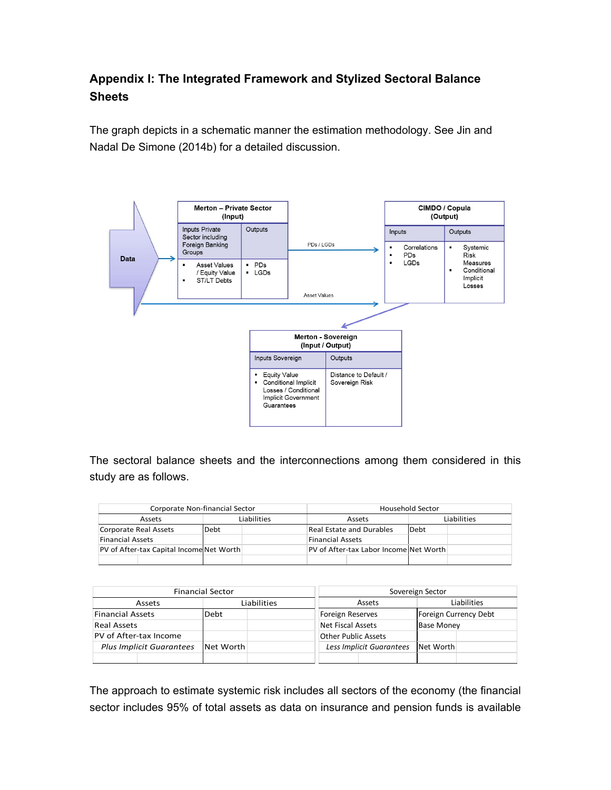# **Appendix I: The Integrated Framework and Stylized Sectoral Balance Sheets**

The graph depicts in a schematic manner the estimation methodology. See Jin and Nadal De Simone (2014b) for a detailed discussion.



The sectoral balance sheets and the interconnections among them considered in this study are as follows.

|                                          | Corporate Non-financial Sector | <b>Household Sector</b>                 |
|------------------------------------------|--------------------------------|-----------------------------------------|
| Assets                                   | Liabilities                    | Liabilities<br>Assets                   |
| Corporate Real Assets                    | Debt                           | <b>Real Estate and Durables</b><br>Debt |
| <b>Financial Assets</b>                  |                                | <b>Financial Assets</b>                 |
| PV of After-tax Capital Income Net Worth |                                | PV of After-tax Labor IncomelNet Worth  |
|                                          |                                |                                         |

|                                 | <b>Financial Sector</b> |             | Sovereign Sector         |        |                       |  |  |  |
|---------------------------------|-------------------------|-------------|--------------------------|--------|-----------------------|--|--|--|
| Assets                          |                         | Liabilities |                          | Assets | Liabilities           |  |  |  |
| <b>Financial Assets</b>         | Debt                    |             | Foreign Reserves         |        | Foreign Currency Debt |  |  |  |
| <b>Real Assets</b>              |                         |             | Net Fiscal Assets        |        | <b>Base Money</b>     |  |  |  |
| PV of After-tax Income          |                         |             | Other Public Assets      |        |                       |  |  |  |
| <b>Plus Implicit Guarantees</b> | Net Worth               |             | Less Implicit Guarantees |        | Net Worth             |  |  |  |
|                                 |                         |             |                          |        |                       |  |  |  |

The approach to estimate systemic risk includes all sectors of the economy (the financial sector includes 95% of total assets as data on insurance and pension funds is available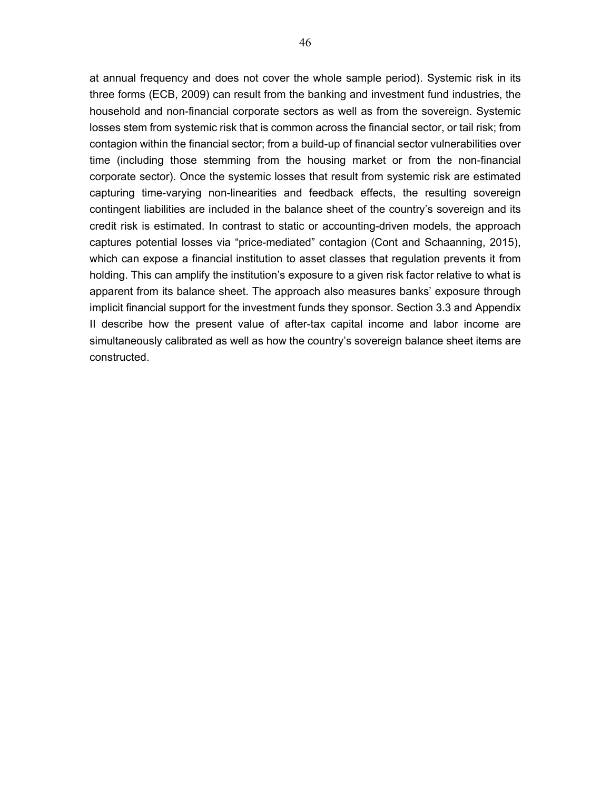at annual frequency and does not cover the whole sample period). Systemic risk in its three forms (ECB, 2009) can result from the banking and investment fund industries, the household and non-financial corporate sectors as well as from the sovereign. Systemic losses stem from systemic risk that is common across the financial sector, or tail risk; from contagion within the financial sector; from a build-up of financial sector vulnerabilities over time (including those stemming from the housing market or from the non-financial corporate sector). Once the systemic losses that result from systemic risk are estimated capturing time-varying non-linearities and feedback effects, the resulting sovereign contingent liabilities are included in the balance sheet of the country's sovereign and its credit risk is estimated. In contrast to static or accounting-driven models, the approach captures potential losses via "price-mediated" contagion (Cont and Schaanning, 2015), which can expose a financial institution to asset classes that regulation prevents it from holding. This can amplify the institution's exposure to a given risk factor relative to what is apparent from its balance sheet. The approach also measures banks' exposure through implicit financial support for the investment funds they sponsor. Section 3.3 and Appendix II describe how the present value of after-tax capital income and labor income are simultaneously calibrated as well as how the country's sovereign balance sheet items are constructed.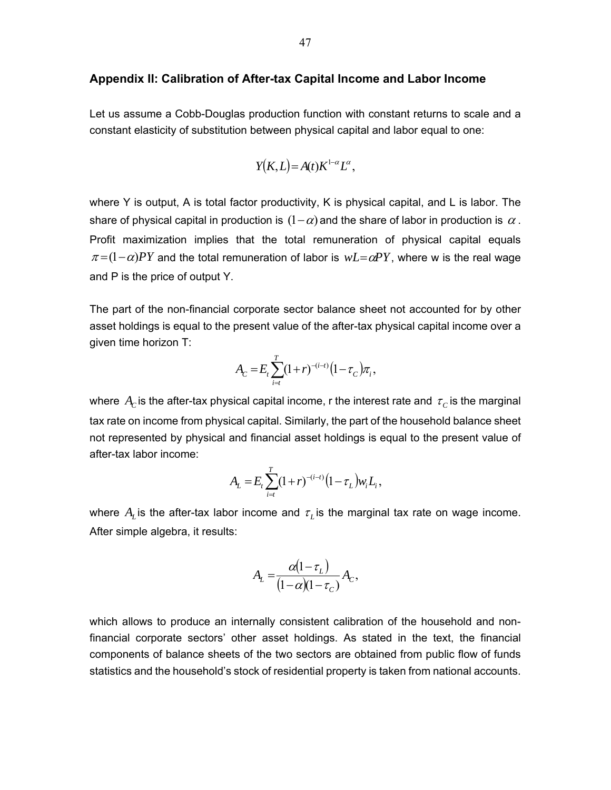#### **Appendix II: Calibration of After-tax Capital Income and Labor Income**

Let us assume a Cobb-Douglas production function with constant returns to scale and a constant elasticity of substitution between physical capital and labor equal to one:

$$
Y(K,L) = A(t)K^{1-\alpha}L^{\alpha},
$$

where Y is output, A is total factor productivity, K is physical capital, and L is labor. The share of physical capital in production is  $(1-\alpha)$  and the share of labor in production is  $\alpha$ . Profit maximization implies that the total remuneration of physical capital equals  $\pi = (1-\alpha)PY$  and the total remuneration of labor is  $wL = \alpha PY$ , where w is the real wage and P is the price of output Y.

The part of the non-financial corporate sector balance sheet not accounted for by other asset holdings is equal to the present value of the after-tax physical capital income over a given time horizon T:

$$
A_C = E_t \sum_{i=t}^{T} (1+r)^{-(i-t)} (1-\tau_C) \pi_i,
$$

where  $A_C$  is the after-tax physical capital income, r the interest rate and  $\tau_C$  is the marginal tax rate on income from physical capital. Similarly, the part of the household balance sheet not represented by physical and financial asset holdings is equal to the present value of after-tax labor income:

$$
A_L = E_t \sum_{i=t}^{T} (1+r)^{-(i-t)} (1 - \tau_L) w_i L_i,
$$

where  $A_L$  is the after-tax labor income and  $\tau_L$  is the marginal tax rate on wage income. After simple algebra, it results:

$$
A_L = \frac{\alpha (1 - \tau_L)}{(1 - \alpha)(1 - \tau_C)} A_C,
$$

which allows to produce an internally consistent calibration of the household and nonfinancial corporate sectors' other asset holdings. As stated in the text, the financial components of balance sheets of the two sectors are obtained from public flow of funds statistics and the household's stock of residential property is taken from national accounts.